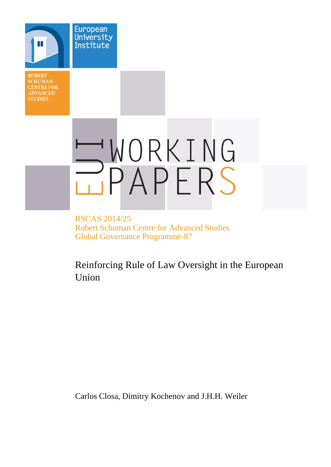**ROBERT SCHUMAN CENTRE FOR ADVANCED STUDIES** 

**European** University Institute

# WORKING

RSCAS 2014/25 Robert Schuman Centre for Advanced Studies Global Governance Programme-87

Reinforcing Rule of Law Oversight in the European Union

Carlos Closa, Dimitry Kochenov and J.H.H. Weiler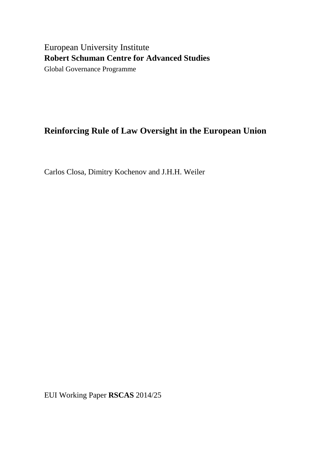# European University Institute **Robert Schuman Centre for Advanced Studies**

Global Governance Programme

# **Reinforcing Rule of Law Oversight in the European Union**

Carlos Closa, Dimitry Kochenov and J.H.H. Weiler

EUI Working Paper **RSCAS** 2014/25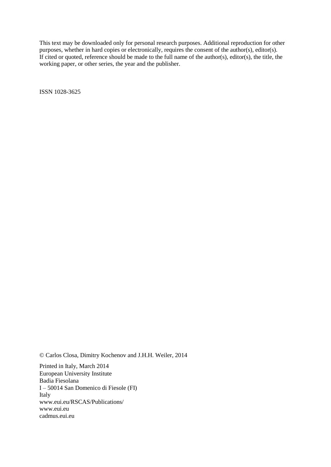This text may be downloaded only for personal research purposes. Additional reproduction for other purposes, whether in hard copies or electronically, requires the consent of the author(s), editor(s). If cited or quoted, reference should be made to the full name of the author(s), editor(s), the title, the working paper, or other series, the year and the publisher.

ISSN 1028-3625

© Carlos Closa, Dimitry Kochenov and J.H.H. Weiler, 2014

Printed in Italy, March 2014 European University Institute Badia Fiesolana I – 50014 San Domenico di Fiesole (FI) Italy [www.eui.eu/RSCAS/Publications/](http://www.eui.eu/RSCAS/Publications/) [www.eui.eu](http://www.eui.eu/) [cadmus.eui.eu](http://cadmus.eui.eu/dspace/index.jsp)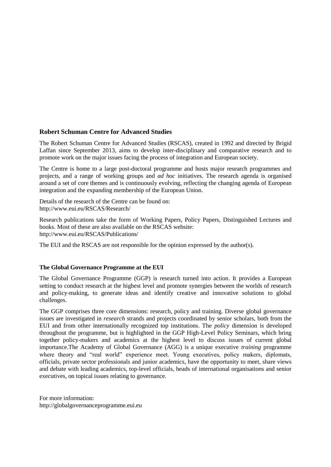# **Robert Schuman Centre for Advanced Studies**

The Robert Schuman Centre for Advanced Studies (RSCAS), created in 1992 and directed by Brigid Laffan since September 2013, aims to develop inter-disciplinary and comparative research and to promote work on the major issues facing the process of integration and European society.

The Centre is home to a large post-doctoral programme and hosts major research programmes and projects, and a range of working groups and *ad hoc* initiatives. The research agenda is organised around a set of core themes and is continuously evolving, reflecting the changing agenda of European integration and the expanding membership of the European Union.

Details of the research of the Centre can be found on: <http://www.eui.eu/RSCAS/Research/>

Research publications take the form of Working Papers, Policy Papers, Distinguished Lectures and books. Most of these are also available on the RSCAS website: <http://www.eui.eu/RSCAS/Publications/>

The EUI and the RSCAS are not responsible for the opinion expressed by the author(s).

# **The Global Governance Programme at the EUI**

The Global Governance Programme (GGP) is research turned into action. It provides a European setting to conduct research at the highest level and promote synergies between the worlds of research and policy-making, to generate ideas and identify creative and innovative solutions to global challenges.

The GGP comprises three core dimensions: research, policy and training. Diverse global governance issues are investigated in *research* strands and projects coordinated by senior scholars, both from the EUI and from other internationally recognized top institutions. The *policy* dimension is developed throughout the programme, but is highlighted in the GGP High-Level Policy Seminars, which bring together policy-makers and academics at the highest level to discuss issues of current global importance.The Academy of Global Governance (AGG) is a unique executive *training* programme where theory and "real world" experience meet. Young executives, policy makers, diplomats, officials, private sector professionals and junior academics, have the opportunity to meet, share views and debate with leading academics, top-level officials, heads of international organisations and senior executives, on topical issues relating to governance.

For more information: [http://globalgovernanceprogramme.eui.eu](http://globalgovernanceprogramme.eui.eu/)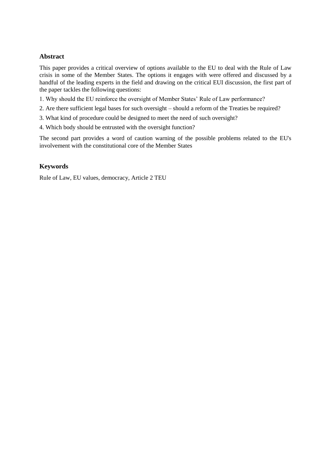# **Abstract**

This paper provides a critical overview of options available to the EU to deal with the Rule of Law crisis in some of the Member States. The options it engages with were offered and discussed by a handful of the leading experts in the field and drawing on the critical EUI discussion, the first part of the paper tackles the following questions:

- 1. Why should the EU reinforce the oversight of Member States' Rule of Law performance?
- 2. Are there sufficient legal bases for such oversight should a reform of the Treaties be required?
- 3. What kind of procedure could be designed to meet the need of such oversight?
- 4. Which body should be entrusted with the oversight function?

The second part provides a word of caution warning of the possible problems related to the EU's involvement with the constitutional core of the Member States

# **Keywords**

Rule of Law, EU values, democracy, Article 2 TEU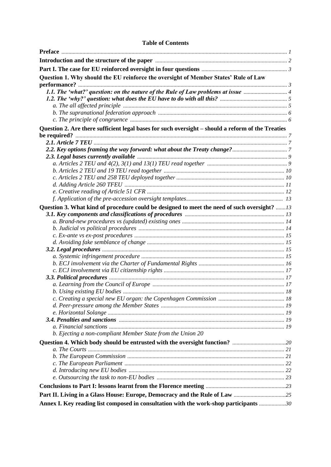# **Table of Contents**

| Question 1. Why should the EU reinforce the oversight of Member States' Rule of Law                                                                                                                                            |  |
|--------------------------------------------------------------------------------------------------------------------------------------------------------------------------------------------------------------------------------|--|
|                                                                                                                                                                                                                                |  |
| 1.1. The 'what?' question: on the nature of the Rule of Law problems at issue                                                                                                                                                  |  |
|                                                                                                                                                                                                                                |  |
|                                                                                                                                                                                                                                |  |
|                                                                                                                                                                                                                                |  |
|                                                                                                                                                                                                                                |  |
| Question 2. Are there sufficient legal bases for such oversight - should a reform of the Treaties                                                                                                                              |  |
|                                                                                                                                                                                                                                |  |
|                                                                                                                                                                                                                                |  |
|                                                                                                                                                                                                                                |  |
| 2.3. Legal bases currently available manumummummummummummummummummummum 9                                                                                                                                                      |  |
|                                                                                                                                                                                                                                |  |
|                                                                                                                                                                                                                                |  |
|                                                                                                                                                                                                                                |  |
|                                                                                                                                                                                                                                |  |
|                                                                                                                                                                                                                                |  |
| Question 3. What kind of procedure could be designed to meet the need of such oversight? 13                                                                                                                                    |  |
|                                                                                                                                                                                                                                |  |
|                                                                                                                                                                                                                                |  |
|                                                                                                                                                                                                                                |  |
|                                                                                                                                                                                                                                |  |
|                                                                                                                                                                                                                                |  |
|                                                                                                                                                                                                                                |  |
|                                                                                                                                                                                                                                |  |
|                                                                                                                                                                                                                                |  |
|                                                                                                                                                                                                                                |  |
|                                                                                                                                                                                                                                |  |
|                                                                                                                                                                                                                                |  |
|                                                                                                                                                                                                                                |  |
|                                                                                                                                                                                                                                |  |
|                                                                                                                                                                                                                                |  |
|                                                                                                                                                                                                                                |  |
| 3.4. Penalties and sanctions manufactured and sanctions and sanctions of the manufactured and sanctions and sanctions and sanctions and sanctions and sanctions and sanctions and samples of the state of the state of the sta |  |
|                                                                                                                                                                                                                                |  |
| b. Ejecting a non-compliant Member State from the Union 20                                                                                                                                                                     |  |
|                                                                                                                                                                                                                                |  |
|                                                                                                                                                                                                                                |  |
|                                                                                                                                                                                                                                |  |
|                                                                                                                                                                                                                                |  |
|                                                                                                                                                                                                                                |  |
|                                                                                                                                                                                                                                |  |
|                                                                                                                                                                                                                                |  |
|                                                                                                                                                                                                                                |  |
| Annex I. Key reading list composed in consultation with the work-shop participants 30                                                                                                                                          |  |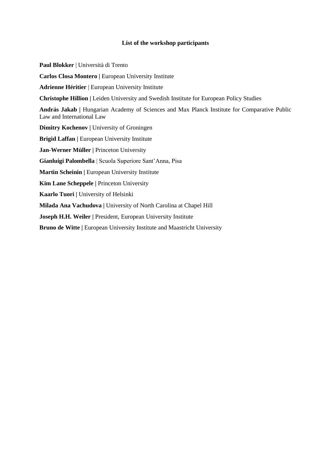# **List of the workshop participants**

**Carlos Closa Montero | European University Institute Adrienne Héritier** | European University Institute **Christophe Hillion |** Leiden University and Swedish Institute for European Policy Studies **András Jakab |** Hungarian Academy of Sciences and Max Planck Institute for Comparative Public Law and International Law **Dimitry Kochenov** | University of Groningen **Brigid Laffan |** European University Institute **Jan-Werner Müller | Princeton University Gianluigi Palombella** | Scuola Superiore Sant'Anna, Pisa **Martin Scheinin | European University Institute Kim Lane Scheppele** | Princeton University **Kaarlo Tuori** | University of Helsinki **Milada Ana Vachudova |** University of North Carolina at Chapel Hill **Joseph H.H. Weiler | President, European University Institute Bruno de Witte | European University Institute and Maastricht University** 

**Paul Blokker** | Università di Trento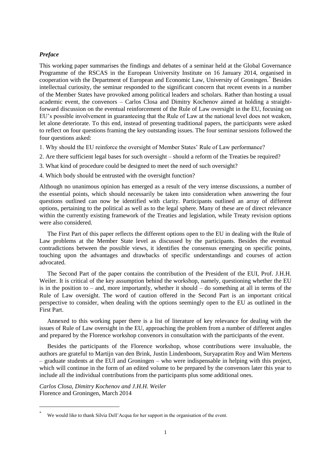# <span id="page-10-0"></span>*Preface*

This working paper summarises the findings and debates of a seminar held at the Global Governance Programme of the RSCAS in the European University Institute on 16 January 2014, organised in cooperation with the Department of European and Economic Law, University of Groningen.\* Besides intellectual curiosity, the seminar responded to the significant concern that recent events in a number of the Member States have provoked among political leaders and scholars. Rather than hosting a usual academic event, the convenors – Carlos Closa and Dimitry Kochenov aimed at holding a straightforward discussion on the eventual reinforcement of the Rule of Law oversight in the EU, focusing on EU's possible involvement in guaranteeing that the Rule of Law at the national level does not weaken, let alone deteriorate. To this end, instead of presenting traditional papers, the participants were asked to reflect on four questions framing the key outstanding issues. The four seminar sessions followed the four questions asked:

- 1. Why should the EU reinforce the oversight of Member States' Rule of Law performance?
- 2. Are there sufficient legal bases for such oversight should a reform of the Treaties be required?
- 3. What kind of procedure could be designed to meet the need of such oversight?
- 4. Which body should be entrusted with the oversight function?

Although no unanimous opinion has emerged as a result of the very intense discussions, a number of the essential points, which should necessarily be taken into consideration when answering the four questions outlined can now be identified with clarity. Participants outlined an array of different options, pertaining to the political as well as to the legal sphere. Many of these are of direct relevance within the currently existing framework of the Treaties and legislation, while Treaty revision options were also considered.

The First Part of this paper reflects the different options open to the EU in dealing with the Rule of Law problems at the Member State level as discussed by the participants. Besides the eventual contradictions between the possible views, it identifies the consensus emerging on specific points, touching upon the advantages and drawbacks of specific understandings and courses of action advocated.

The Second Part of the paper contains the contribution of the President of the EUI, Prof. J.H.H. Weiler. It is critical of the key assumption behind the workshop, namely, questioning whether the EU is in the position to – and, more importantly, whether it should – do something at all in terms of the Rule of Law oversight. The word of caution offered in the Second Part is an important critical perspective to consider, when dealing with the options seemingly open to the EU as outlined in the First Part.

Annexed to this working paper there is a list of literature of key relevance for dealing with the issues of Rule of Law oversight in the EU, approaching the problem from a number of different angles and prepared by the Florence workshop convenors in consultation with the participants of the event.

Besides the participants of the Florence workshop, whose contributions were invaluable, the authors are grateful to Martijn van den Brink, Justin Lindenboom, Suryapratim Roy and Wim Mertens – graduate students at the EUI and Groningen – who were indispensable in helping with this project, which will continue in the form of an edited volume to be prepared by the convenors later this year to include all the individual contributions from the participants plus some additional ones.

*Carlos Closa, Dimitry Kochenov and J.H.H. Weiler* Florence and Groningen, March 2014

We would like to thank Silvia Dell'Acqua for her support in the organisation of the event.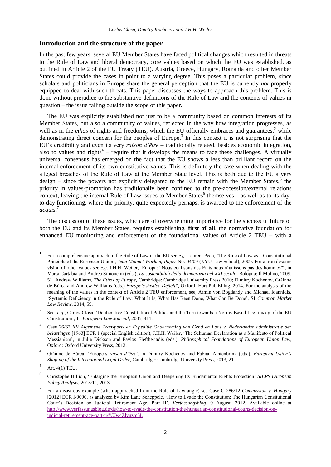#### <span id="page-11-0"></span>**Introduction and the structure of the paper**

In the past few years, several EU Member States have faced political changes which resulted in threats to the Rule of Law and liberal democracy, core values based on which the EU was established, as outlined in Article 2 of the EU Treaty (TEU). Austria, Greece, Hungary, Romania and other Member States could provide the cases in point to a varying degree. This poses a particular problem, since scholars and politicians in Europe share the general perception that the EU is currently *not* properly equipped to deal with such threats. This paper discusses the ways to approach this problem. This is done without prejudice to the substantive definitions of the Rule of Law and the contents of values in question – the issue falling outside the scope of this paper.<sup>1</sup>

The EU was explicitly established not just to be a community based on common interests of its Member States, but also a community of values, reflected in the way how integration progresses, as well as in the *ethos* of rights and freedoms, which the EU officially embraces and guarantees,<sup>2</sup> while demonstrating direct concern for the peoples of Europe. 3 In this context it is not surprising that the EU's credibility and even its very *raison d'être* – traditionally related, besides economic integration, also to values and rights<sup>4</sup> – require that it develops the means to face these challenges. A virtually universal consensus has emerged on the fact that the EU shows a less than brilliant record on the internal enforcement of its own constitutive values. This is definitely the case when dealing with the alleged breaches of the Rule of Law at the Member State level. This is both due to the EU's very design – since the powers not explicitly delegated to the EU remain with the Member States,  $5$  the priority in values-promotion has traditionally been confined to the pre-accession/external relations context, leaving the internal Rule of Law issues to Member States<sup>6</sup> themselves - as well as to its dayto-day functioning, where the priority, quite expectedly perhaps, is awarded to the enforcement of the *acquis*. 7

The discussion of these issues, which are of overwhelming importance for the successful future of both the EU and its Member States, requires establishing, **first of all**, the normative foundation for enhanced EU monitoring and enforcement of the foundational values of Article 2 TEU – with a

 $\overline{a}$ 

<sup>1</sup> For a comprehensive approach to the Rule of Law in the EU see *e.g.* Laurent Pech, 'The Rule of Law as a Constitutional Principle of the European Union', *Jean Monnet Working Paper* No. 04/09 (NYU Law School), 2009. For a troublesome vision of other values see *e.g.* J.H.H. Weiler, 'Europa: "Nous coalisons des Etats nous n'unissons pas des hommes"', in Marta Cartabia and Andrea Simoncini (eds.), *La sostenibilità della democrazia nel XXI secolo*, Bologna: Il Mulino, 2009, 51; Andrew Williams, *The Ethos of Europe*, Cambridge: Cambridge University Press 2010; Dimitry Kochenov, Gráinne de Búrca and Andrew Williams (eds.) *Europe's Justice Deficit?*, Oxford: Hart Publishing, 2014. For the analysis of the meaning of the values in the context of Article 2 TEU enforcement, see, Armin von Bogdandy and Michael Ioannidis, 'Systemic Deficiency in the Rule of Law: What It Is, What Has Been Done, What Can Be Done', 51 *Common Market Law Review*, 2014, 59.

<sup>2</sup> See, *e.g.*, Carlos Closa, 'Deliberative Constitutional Politics and the Turn towards a Norms-Based Legitimacy of the EU Constitution', 11 *European Law Journal*, 2005, 411.

<sup>3</sup> Case 26/62 *NV Algemene Transport- en Expeditie Onderneming van Gend en Loos v. Nederlandse administratie der belastingen* [1963] ECR 1 (special English edition); J.H.H. Weiler, 'The Schuman Declaration as a Manifesto of Political Messianism', in Julie Dickson and Pavlos Eleftheriadis (eds.), *Philosophical Foundations of European Union Law*, Oxford: Oxford University Press, 2012.

<sup>4</sup> Gráinne de Búrca, 'Europe's *raison d'être*', in Dimitry Kochenov and Fabian Amtenbrink (eds.), *European Union's Shaping of the International Legal Order*, Cambridge: Cambridge University Press, 2013, 21.

<sup>5</sup> Art. 4(1) TEU.

<sup>6</sup> Christophe Hillion, 'Enlarging the European Union and Deepening Its Fundamental Rights Protection' *SIEPS European Policy Analysis*, 2013:11, 2013.

<sup>7</sup> For a disastrous example (when approached from the Rule of Law angle) see Case C-286/12 *Commission v. Hungary* [2012] ECR I-0000, as analyzed by Kim Lane Scheppele, 'How to Evade the Constitution: The Hungarian Consitutional Court's Decision on Judicial Retirement Age, Part II', *Verfassungsblog*, 9 August, 2012. Available online at [http://www.verfassungsblog.de/de/how-to-evade-the-constitution-the-hungarian-constitutional-courts-decision-on](http://www.verfassungsblog.de/de/how-to-evade-the-constitution-the-hungarian-constitutional-courts-decision-on-judicial-retirement-age-part-ii/#.Uw4Zlvuzm5I)[judicial-retirement-age-part-ii/#.Uw4Zlvuzm5I.](http://www.verfassungsblog.de/de/how-to-evade-the-constitution-the-hungarian-constitutional-courts-decision-on-judicial-retirement-age-part-ii/#.Uw4Zlvuzm5I)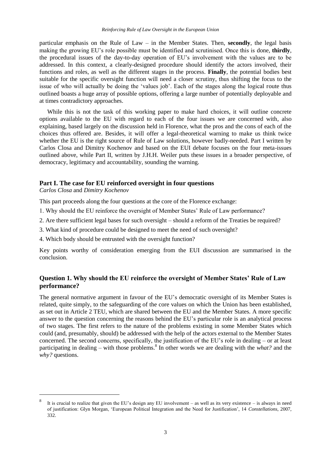particular emphasis on the Rule of Law – in the Member States. Then, **secondly**, the legal basis making the growing EU's role possible must be identified and scrutinised. Once this is done, **thirdly**, the procedural issues of the day-to-day operation of EU's involvement with the values are to be addressed. In this context, a clearly-designed procedure should identify the actors involved, their functions and roles, as well as the different stages in the process. **Finally**, the potential bodies best suitable for the specific oversight function will need a closer scrutiny, thus shifting the focus to the issue of who will actually be doing the 'values job'. Each of the stages along the logical route thus outlined boasts a huge array of possible options, offering a large number of potentially deployable and at times contradictory approaches.

While this is not the task of this working paper to make hard choices, it will outline concrete options available to the EU with regard to each of the four issues we are concerned with, also explaining, based largely on the discussion held in Florence, what the pros and the cons of each of the choices thus offered are. Besides, it will offer a legal-theoretical warning to make us think twice whether the EU is the right source of Rule of Law solutions, however badly-needed. Part I written by Carlos Closa and Dimitry Kochenov and based on the EUI debate focuses on the four meta-issues outlined above, while Part II, written by J.H.H. Weiler puts these issues in a broader perspective, of democracy, legitimacy and accountability, sounding the warning.

#### <span id="page-12-0"></span>**Part I. The case for EU reinforced oversight in four questions**

*Carlos Closa* and *Dimitry Kochenov*

l

This part proceeds along the four questions at the core of the Florence exchange:

- 1. Why should the EU reinforce the oversight of Member States' Rule of Law performance?
- 2. Are there sufficient legal bases for such oversight should a reform of the Treaties be required?
- 3. What kind of procedure could be designed to meet the need of such oversight?
- 4. Which body should be entrusted with the oversight function?

<span id="page-12-1"></span>Key points worthy of consideration emerging from the EUI discussion are summarised in the conclusion.

# **Question 1. Why should the EU reinforce the oversight of Member States' Rule of Law performance?**

The general normative argument in favour of the EU's democratic oversight of its Member States is related, quite simply, to the safeguarding of the core values on which the Union has been established, as set out in Article 2 TEU, which are shared between the EU and the Member States. A more specific answer to the question concerning the reasons behind the EU's particular role is an analytical process of two stages. The first refers to the nature of the problems existing in some Member States which could (and, presumably, should) be addressed with the help of the actors external to the Member States concerned. The second concerns, specifically, the justification of the EU's role in dealing – or at least participating in dealing – with those problems.<sup>8</sup> In other words we are dealing with the *what?* and the *why?* questions.

<sup>8</sup> It is crucial to realize that given the EU's design any EU involvement – as well as its very existence – is always in need of justification: Glyn Morgan, 'European Political Integration and the Need for Justification', 14 *Constellations*, 2007, 332.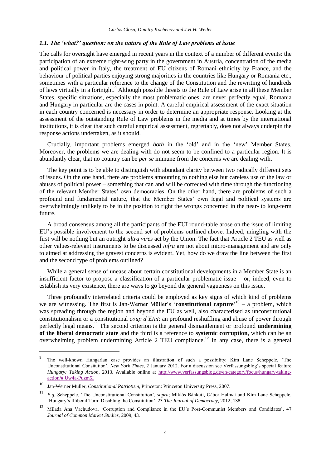#### <span id="page-13-0"></span>*1.1. The 'what?' question: on the nature of the Rule of Law problems at issue*

The calls for oversight have emerged in recent years in the context of a number of different events: the participation of an extreme right-wing party in the government in Austria, concentration of the media and political power in Italy, the treatment of EU citizens of Romani ethnicity by France, and the behaviour of political parties enjoying strong majorities in the countries like Hungary or Romania etc., sometimes with a particular reference to the change of the Constitution and the rewriting of hundreds of laws virtually in a fortnight.<sup>9</sup> Although possible threats to the Rule of Law arise in all these Member States, specific situations, especially the most problematic ones, are never perfectly equal. Romania and Hungary in particular are the cases in point. A careful empirical assessment of the exact situation in each country concerned is necessary in order to determine an appropriate response. Looking at the assessment of the outstanding Rule of Law problems in the media and at times by the international institutions, it is clear that such careful empirical assessment, regrettably, does not always underpin the response actions undertaken, as it should.

Crucially, important problems emerged *both* in the 'old' and in the 'new' Member States. Moreover, the problems we are dealing with do not seem to be confined to a particular region. It is abundantly clear, that no country can be *per se* immune from the concerns we are dealing with.

The key point is to be able to distinguish with abundant clarity between two radically different sets of issues. On the one hand, there are problems amounting to nothing else but careless use of the law or abuses of political power – something that can and will be corrected with time through the functioning of the relevant Member States' own democracies. On the other hand, there are problems of such a profound and fundamental nature, that the Member States' own legal and political systems are overwhelmingly unlikely to be in the position to right the wrongs concerned in the near- to long-term future.

A broad consensus among all the participants of the EUI round-table arose on the issue of limiting EU's possible involvement to the second set of problems outlined above. Indeed, mingling with the first will be nothing but an outright *ultra vires* act by the Union. The fact that Article 2 TEU as well as other values-relevant instruments to be discussed *infra* are not about micro-management and are only to aimed at addressing the gravest concerns is evident. Yet, how do we draw the line between the first and the second type of problems outlined?

While a general sense of unease about certain constitutional developments in a Member State is an insufficient factor to propose a classification of a particular problematic issue – or, indeed, even to establish its very existence, there are ways to go beyond the general vagueness on this issue.

Three profoundly interrelated criteria could be employed as key signs of which kind of problems we are witnessing. The first is Jan-Werner Müller's '**constitutional capture**' 10 – a problem, which was spreading through the region and beyond the EU as well, also characterised as unconstitutional constitutionalism or a constitutional *coup d'État*: an profound reshuffling and abuse of power through perfectly legal means.<sup>11</sup> The second criterion is the general dismantlement or profound **undermining of the liberal democratic state** and the third is a reference to **systemic corruption**, which can be an overwhelming problem undermining Article 2 TEU compliance.<sup>12</sup> In any case, there is a general

<sup>9</sup> The well-known Hungarian case provides an illustration of such a possibility: Kim Lane Scheppele, 'The Unconstitutional Consitution', *New York Times*, 2 January 2012. For a discussion see Verfassungsblog's special feature *Hungary: Taking Action*, 2013. Available online at [http://www.verfassungsblog.de/en/category/focus/hungary-taking](http://www.verfassungsblog.de/en/category/focus/hungary-taking-action/#.Uw4a-Puzm5I)[action/#.Uw4a-Puzm5I](http://www.verfassungsblog.de/en/category/focus/hungary-taking-action/#.Uw4a-Puzm5I)

<sup>10</sup> Jan-Werner Müller, *Constitutional Patriotism*, Princeton: Princeton University Press, 2007.

<sup>11</sup> *E.g.* Scheppele, 'The Unconstitutional Constitution', *supra*; Miklós Bánkuti, Gábor Halmai and Kim Lane Scheppele, 'Hungary's Illiberal Turn: Disabling the Constitution', 23 *The Journal of Democracy*, 2012, 138.

<sup>12</sup> Milada Ana Vachudova, 'Corruption and Compliance in the EU's Post-Communist Members and Candidates', 47 *Journal of Common Market Studies*, 2009, 43.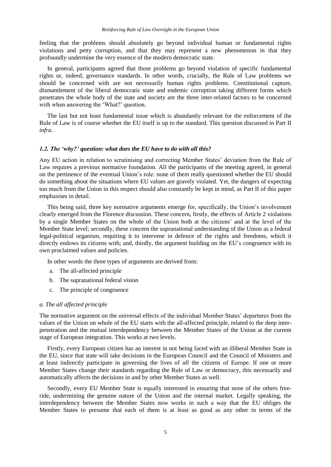feeling that the problems should absolutely go beyond individual human or fundamental rights violations and petty corruption, and that they may represent a new phenomenon in that they profoundly undermine the very essence of the modern democratic state.

In general, participants agreed that those problems go beyond violation of specific fundamental rights or, indeed, governance standards. In other words, crucially, the Rule of Law problems we should be concerned with are not necessarily human rights problems. Constitutional capture, dismantlement of the liberal democratic state and endemic corruption taking different forms which penetrates the whole body of the state and society are the three inter-related factors to be concerned with when answering the 'What?' question.

The last but not least fundamental issue which is abundantly relevant for the enforcement of the Rule of Law is of course whether the EU itself is up to the standard. This question discussed in Part II *infra*.

#### <span id="page-14-0"></span>*1.2. The 'why?' question: what does the EU have to do with all this?*

Any EU action in relation to scrutinising and correcting Member States' deviation from the Rule of Law requires a previous normative foundation. All the participants of the meeting agreed, in general on the pertinence of the eventual Union's role: none of them really questioned whether the EU should do something about the situations where EU values are gravely violated. Yet, the dangers of expecting too much from the Union in this respect should also constantly be kept in mind, as Part II of this paper emphasises in detail.

This being said, three key normative arguments emerge for, specifically, the Union's involvement clearly emerged from the Florence discussion. These concern, firstly, the effects of Article 2 violations by a single Member States on the whole of the Union both at the citizens' and at the level of the Member State level; secondly, these concern the supranational understanding of the Union as a federal legal-political organism, requiring it to intervene in defence of the rights and freedoms, which it directly endows its citizens with; and, thirdly, the argument building on the EU's congruence with its own proclaimed values and policies.

In other words the three types of arguments are derived from:

- a. The all-affected principle
- b. The supranational federal vision
- c. The principle of congruence

#### <span id="page-14-1"></span>*a. The all affected principle*

The normative argument on the universal effects of the individual Member States' departures from the values of the Union on whole of the EU starts with the all-affected principle, related to the deep interpenetration and the mutual interdependency between the Member States of the Union at the current stage of European integration. This works at two levels.

Firstly, every European citizen has an interest in not being faced with an illiberal Member State in the EU, since that state will take decisions in the European Council and the Council of Ministers and at least indirectly participate in governing the lives of *all* the citizens of Europe. If one or more Member States change their standards regarding the Rule of Law or democracy, this necessarily and automatically affects the decisions in and by other Member States as well.

Secondly, every EU Member State is equally interested in ensuring that none of the others freeride, undermining the genuine nature of the Union and the internal market. Legally speaking, the interdependency between the Member States now works in such a way that the EU obliges the Member States to presume that each of them is at least as good as any other in terms of the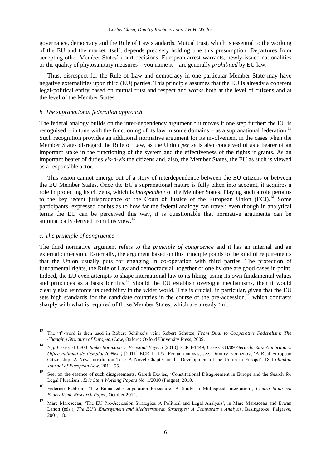governance, democracy and the Rule of Law standards. Mutual trust, which is essential to the working of the EU and the market itself, depends precisely holding true this presumption. Departures from accepting other Member States' court decisions, European arrest warrants, newly-issued nationalities or the quality of phytosanitary measures – you name it – are generally *prohibited* by EU law.

Thus, disrespect for the Rule of Law and democracy in one particular Member State may have negative externalities upon third (EU) parties. This principle assumes that the EU is already a coherent legal-political entity based on mutual trust and respect and works both at the level of citizens and at the level of the Member States.

#### <span id="page-15-0"></span>*b. The supranational federation approach*

The federal analogy builds on the inter-dependency argument but moves it one step further: the EU is recognised – in tune with the functioning of its law in some domains – as a supranational federation.<sup>13</sup> Such recognition provides an additional normative argument for its involvement in the cases when the Member States disregard the Rule of Law, as the Union *per se* is also conceived of as a bearer of an important stake in the functioning of the system and the effectiveness of the rights it grants. As an important bearer of duties *vis-à-vis* the citizens and, also, the Member States, the EU as such is viewed as a responsible actor.

This vision cannot emerge out of a story of interdependence between the EU citizens or between the EU Member States. Once the EU's supranational nature is fully taken into account, it acquires a role in protecting its citizens, which is *independent* of the Member States. Playing such a role pertains to the key recent jurisprudence of the Court of Justice of the European Union  $(ECJ)$ .<sup>14</sup> Some participants, expressed doubts as to how far the federal analogy can travel: even though in analytical terms the EU can be perceived this way, it is questionable that normative arguments can be automatically derived from this view.<sup>15</sup>

#### <span id="page-15-1"></span>*c. The principle of congruence*

l

The third normative argument refers to the *principle of congruence* and it has an internal and an external dimension. Externally, the argument based on this principle points to the kind of requirements that the Union usually puts for engaging in co-operation with third parties. The protection of fundamental rights, the Rule of Law and democracy all together or one by one are good cases in point. Indeed, the EU even attempts to shape international law to its liking, using its own fundamental values and principles as a basis for this.<sup>16</sup> Should the EU establish oversight mechanisms, then it would clearly also reinforce its credibility in the wider world. This is crucial, in particular, given that the EU sets high standards for the candidate countries in the course of the pre-accession,  $\frac{1}{7}$  which contrasts sharply with what is required of those Member States, which are already 'in'.

<sup>13</sup> The "f"-word is then used in Robert Schütze's vein: Robert Schütze, *From Dual to Cooperative Federalism: The Changing Structure of European Law*, Oxford: Oxford University Press, 2009.

<sup>14</sup> *E.g.* Case C-135/08 *Janko Rottmann v. Freistaat Bayern* [2010] ECR I-1449; Case C-34/09 *Gerardo Ruiz Zambrano v. Office national de l'emploi (ONEm)* [2011] ECR I-1177. For an analysis, see, Dimitry Kochenov, 'A Real European Citizenship: A New Jurisdiction Test: A Novel Chapter in the Development of the Union in Europe', 18 *Columbia Journal of European Law*, 2011, 55.

<sup>&</sup>lt;sup>15</sup> See, on the essence of such disagreements, Gareth Davies, 'Constitutional Disagreement in Europe and the Search for Legal Pluralism', *Eric Stein Working Papers* No. 1/2010 (Prague), 2010.

<sup>16</sup> Federico Fabbrini, 'The Enhanced Cooperation Procedure: A Study in Multispeed Integration', *Centro Studi sul Federalismo Research Paper*, October 2012.

<sup>17</sup> Marc Maresceau, 'The EU Pre-Accession Strategies: A Political and Legal Analysis', in Marc Maresceau and Erwan Lanon (eds.), *The EU's Enlargement and Mediterranean Strategies: A Comparative Analysis*, Basingstoke: Palgrave, 2001, 18.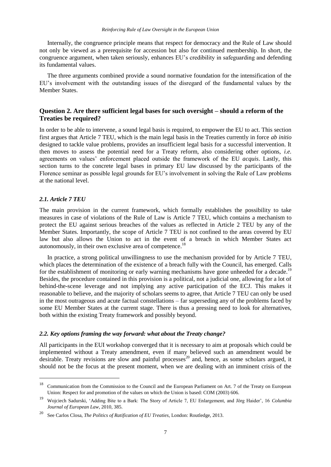Internally, the congruence principle means that respect for democracy and the Rule of Law should not only be viewed as a prerequisite for accession but also for continued membership. In short, the congruence argument, when taken seriously, enhances EU's credibility in safeguarding and defending its fundamental values.

The three arguments combined provide a sound normative foundation for the intensification of the EU's involvement with the outstanding issues of the disregard of the fundamental values by the Member States.

# <span id="page-16-0"></span>**Question 2. Are there sufficient legal bases for such oversight – should a reform of the Treaties be required?**

In order to be able to intervene, a sound legal basis is required, to empower the EU to act. This section first argues that Article 7 TEU, which is the main legal basis in the Treaties currently in force *ab initio*  designed to tackle value problems, provides an insufficient legal basis for a successful intervention. It then moves to assess the potential need for a Treaty reform, also considering other options, *i.e.* agreements on values' enforcement placed outside the framework of the EU *acquis*. Lastly, this section turns to the concrete legal bases in primary EU law discussed by the participants of the Florence seminar as possible legal grounds for EU's involvement in solving the Rule of Law problems at the national level.

#### <span id="page-16-1"></span>*2.1. Article 7 TEU*

l

The main provision in the current framework, which formally establishes the possibility to take measures in case of violations of the Rule of Law is Article 7 TEU, which contains a mechanism to protect the EU against serious breaches of the values as reflected in Article 2 TEU by any of the Member States. Importantly, the scope of Article 7 TEU is not confined to the areas covered by EU law but also allows the Union to act in the event of a breach in which Member States act autonomously, in their own exclusive area of competence.<sup>18</sup>

In practice, a strong political unwillingness to use the mechanism provided for by Article 7 TEU, which places the determination of the existence of a breach fully with the Council, has emerged. Calls for the establishment of monitoring or early warning mechanisms have gone unheeded for a decade.<sup>19</sup> Besides, the procedure contained in this provision is a political, not a judicial one, allowing for a lot of behind-the-scene leverage and not implying any active participation of the ECJ. This makes it reasonable to believe, and the majority of scholars seems to agree, that Article 7 TEU can only be used in the most outrageous and acute factual constellations – far superseding any of the problems faced by some EU Member States at the current stage. There is thus a pressing need to look for alternatives, both within the existing Treaty framework and possibly beyond.

#### <span id="page-16-2"></span>*2.2. Key options framing the way forward: what about the Treaty change?*

All participants in the EUI workshop converged that it is necessary to aim at proposals which could be implemented without a Treaty amendment, even if many believed such an amendment would be desirable. Treaty revisions are slow and painful processes<sup>20</sup> and, hence, as some scholars argued, it should not be the focus at the present moment, when we are dealing with an imminent crisis of the

<sup>18</sup> Communication from the Commission to the Council and the European Parliament on Art. 7 of the Treaty on European Union: Respect for and promotion of the values on which the Union is based: COM (2003) 606.

<sup>19</sup> Wojciech Sadurski, 'Adding Bite to a Bark: The Story of Article 7, EU Enlargement, and Jörg Haider', 16 *Columbia Journal of European Law*, 2010, 385.

<sup>20</sup> See Carlos Closa, *The Politics of Ratification of EU Treaties*, London: Routledge, 2013.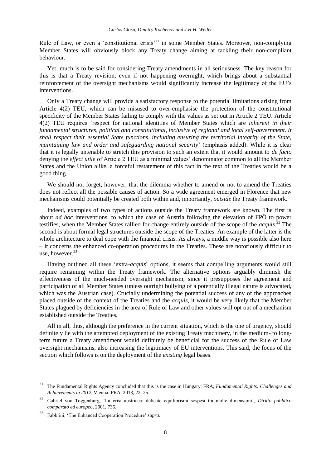Rule of Law, or even a 'constitutional crisis'<sup>21</sup> in some Member States. Moreover, non-complying Member States will obviously block any Treaty change aiming at tackling their non-compliant behaviour.

Yet, much is to be said for considering Treaty amendments in all seriousness. The key reason for this is that a Treaty revision, even if not happening overnight, which brings about a substantial reinforcement of the oversight mechanisms would significantly increase the legitimacy of the EU's interventions.

Only a Treaty change will provide a satisfactory response to the potential limitations arising from Article 4(2) TEU, which can be misused to over-emphasise the protection of the constitutional specificity of the Member States failing to comply with the values as set out in Article 2 TEU. Article 4(2) TEU requires 'respect for national identities of Member States which are *inherent in their fundamental structures, political and constitutional, inclusive of regional and local self-government. It shall respect their essential State functions, including ensuring the territorial integrity of the State, maintaining law and order and safeguarding national security*' (emphasis added). While it is clear that it is legally untenable to stretch this provision to such an extent that it would amount to *de facto* denying the *effect utile* of Article 2 TEU as a minimal values' denominator common to all the Member States and the Union alike, a forceful restatement of this fact in the text of the Treaties would be a good thing.

We should not forget, however, that the dilemma whether to amend or not to amend the Treaties does not reflect all the possible causes of action. So a wide agreement emerged in Florence that new mechanisms could potentially be created both within and, importantly, *outside* the Treaty framework.

Indeed, examples of two types of actions outside the Treaty framework are known. The first is about *ad hoc* interventions, to which the case of Austria following the elevation of FPÖ to power testifies, when the Member States rallied for change entirely outside of the scope of the *acquis*. <sup>22</sup> The second is about formal legal structures outside the scope of the Treaties. An example of the latter is the whole architecture to deal cope with the financial crisis. As always, a middle way is possible also here – it concerns the enhanced co-operation procedures in the Treaties. These are notoriously difficult to use, however. $23$ 

Having outlined all these 'extra-*acquis*' options, it seems that compelling arguments would still require remaining within the Treaty framework. The alternative options arguably diminish the effectiveness of the much-needed oversight mechanism, since it presupposes the agreement and participation of all Member States (unless outright bullying of a potentially illegal nature is advocated, which was the Austrian case). Crucially undermining the potential success of any of the approaches placed outside of the context of the Treaties and the *acquis*, it would be very likely that the Member States plagued by deficiencies in the area of Rule of Law and other values will opt out of a mechanism established outside the Treaties.

All in all, thus, although the preference in the current situation, which is the one of urgency, should definitely lie with the attempted deployment of the existing Treaty machinery, in the medium- to longterm future a Treaty amendment would definitely be beneficial for the success of the Rule of Law oversight mechanisms, also increasing the legitimacy of EU interventions. This said, the focus of the section which follows is on the deployment of the *existing* legal bases.

<sup>21</sup> The Fundamental Rights Agency concluded that this is the case in Hungary: FRA, *Fundamental Rights: Challenges and Achievements in 2012*, Vienna: FRA, 2013, 22–25.

<sup>22</sup> Gabriel von Toggenburg, 'La crisi austriaca: delicate equilibrismi sospesi tra molte dimensioni', *Diritto pubblico comparato ed europeo*, 2001, 735.

<sup>23</sup> Fabbrini, 'The Enhanced Cooperation Procedure' *supra*.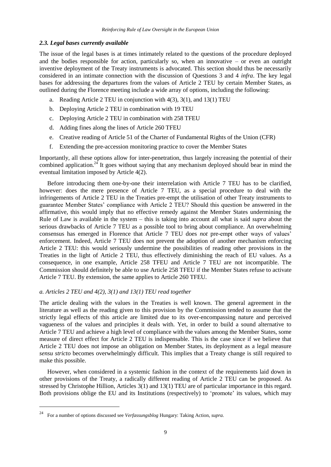# <span id="page-18-0"></span>*2.3. Legal bases currently available*

The issue of the legal bases is at times intimately related to the questions of the procedure deployed and the bodies responsible for action, particularly so, when an innovative  $-$  or even an outright inventive deployment of the Treaty instruments is advocated. This section should thus be necessarily considered in an intimate connection with the discussion of Questions 3 and 4 *infra*. The key legal bases for addressing the departures from the values of Article 2 TEU by certain Member States, as outlined during the Florence meeting include a wide array of options, including the following:

- a. Reading Article 2 TEU in conjunction with 4(3), 3(1), and 13(1) TEU
- b. Deploying Article 2 TEU in combination with 19 TEU
- c. Deploying Article 2 TEU in combination with 258 TFEU
- d. Adding fines along the lines of Article 260 TFEU
- e. Creative reading of Article 51 of the Charter of Fundamental Rights of the Union (CFR)
- f. Extending the pre-accession monitoring practice to cover the Member States

Importantly, all these options allow for inter-penetration, thus largely increasing the potential of their combined application.<sup>24</sup> It goes without saying that any mechanism deployed should bear in mind the eventual limitation imposed by Article 4(2).

Before introducing them one-by-one their interrelation with Article 7 TEU has to be clarified, however: does the mere presence of Article 7 TEU, as a special procedure to deal with the infringements of Article 2 TEU in the Treaties pre-empt the utilisation of other Treaty instruments to guarantee Member States' compliance with Article 2 TEU? Should this question be answered in the affirmative, this would imply that no effective remedy against the Member States undermining the Rule of Law is available in the system – this is taking into account all what is said *supra* about the serious drawbacks of Article 7 TEU as a possible tool to bring about compliance. An overwhelming consensus has emerged in Florence that Article 7 TEU does *not* pre-empt other ways of values' enforcement. Indeed, Article 7 TEU does not prevent the adoption of another mechanism enforcing Article 2 TEU: this would seriously undermine the possibilities of reading other provisions in the Treaties in the light of Article 2 TEU, thus effectively diminishing the reach of EU values. As a consequence, in one example, Article 258 TFEU and Article 7 TEU are not incompatible. The Commission should definitely be able to use Article 258 TFEU if the Member States refuse to activate Article 7 TEU. By extension, the same applies to Article 260 TFEU.

# <span id="page-18-1"></span>*a. Articles 2 TEU and 4(2), 3(1) and 13(1) TEU read together*

The article dealing with the values in the Treaties is well known. The general agreement in the literature as well as the reading given to this provision by the Commission tended to assume that the strictly legal effects of this article are limited due to its over-encompassing nature and perceived vagueness of the values and principles it deals with. Yet, in order to build a sound alternative to Article 7 TEU and achieve a high level of compliance with the values among the Member States, some measure of direct effect for Article 2 TEU is indispensable. This is the case since if we believe that Article 2 TEU does not impose an obligation on Member States, its deployment as a legal measure *sensu stricto* becomes overwhelmingly difficult. This implies that a Treaty change is still required to make this possible.

However, when considered in a systemic fashion in the context of the requirements laid down in other provisions of the Treaty, a radically different reading of Article 2 TEU can be proposed. As stressed by Christophe Hillion, Articles 3(1) and 13(1) TEU are of particular importance in this regard. Both provisions oblige the EU and its Institutions (respectively) to 'promote' its values, which may

<sup>24</sup> For a number of options discussed see *Verfassungsblog* Hungary: Taking Action, *supra*.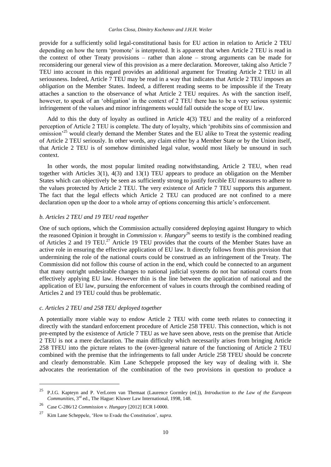provide for a sufficiently solid legal-constitutional basis for EU action in relation to Article 2 TEU depending on how the term 'promote' is interpreted. It is apparent that when Article 2 TEU is read in the context of other Treaty provisions – rather than alone – strong arguments can be made for reconsidering our general view of this provision as a mere declaration. Moreover, taking also Article 7 TEU into account in this regard provides an additional argument for Treating Article 2 TEU in all seriousness. Indeed, Article 7 TEU may be read in a way that indicates that Article 2 TEU imposes an *obligation* on the Member States. Indeed, a different reading seems to be impossible if the Treaty attaches a sanction to the observance of what Article 2 TEU requires. As with the sanction itself, however, to speak of an 'obligation' in the context of 2 TEU there has to be a very serious systemic infringement of the values and minor infringements would fall outside the scope of EU law.

Add to this the duty of loyalty as outlined in Article 4(3) TEU and the reality of a reinforced perception of Article 2 TEU is complete. The duty of loyalty, which 'prohibits sins of commission and omission<sup>25</sup> would clearly demand the Member States and the EU alike to Treat the systemic reading of Article 2 TEU seriously. In other words, any claim either by a Member State or by the Union itself, that Article 2 TEU is of somehow diminished legal value, would most likely be unsound in such context.

In other words, the most popular limited reading notwithstanding, Article 2 TEU, when read together with Articles 3(1), 4(3) and 13(1) TEU appears to produce an obligation on the Member States which can objectively be seen as sufficiently strong to justify forcible EU measures to adhere to the values protected by Article 2 TEU. The very existence of Article 7 TEU supports this argument. The fact that the legal effects which Article 2 TEU can produced are not confined to a mere declaration open up the door to a whole array of options concerning this article's enforcement.

# <span id="page-19-0"></span>*b. Articles 2 TEU and 19 TEU read together*

One of such options, which the Commission actually considered deploying against Hungary to which the reasoned Opinion it brought in *Commission v. Hungary*<sup>26</sup> seems to testify is the combined reading of Articles 2 and 19 TEU.<sup>27</sup> Article 19 TEU provides that the courts of the Member States have an active role in ensuring the effective application of EU law. It directly follows from this provision that undermining the role of the national courts could be construed as an infringement of the Treaty. The Commission did not follow this course of action in the end, which could be connected to an argument that many outright undesirable changes to national judicial systems do not bar national courts from effectively applying EU law. However thin is the line between the application of national and the application of EU law, pursuing the enforcement of values in courts through the combined reading of Articles 2 and 19 TEU could thus be problematic.

# <span id="page-19-1"></span>*c. Articles 2 TEU and 258 TEU deployed together*

A potentially more viable way to endow Article 2 TEU with come teeth relates to connecting it directly with the standard enforcement procedure of Article 258 TFEU. This connection, which is not pre-empted by the existence of Article 7 TEU as we have seen above, rests on the premise that Article 2 TEU is not a mere declaration. The main difficulty which necessarily arises from bringing Article 258 TFEU into the picture relates to the (over-)general nature of the functioning of Article 2 TEU combined with the premise that the infringements to fall under Article 258 TFEU should be concrete and clearly demonstrable. Kim Lane Scheppele proposed the key way of dealing with it. She advocates the reorientation of the combination of the two provisions in question to produce a

<sup>25</sup> P.J.G. Kapteyn and P. VerLoren van Themaat (Laurence Gormley (ed.)), *Introduction to the Law of the European Communities*, 3rd ed., The Hague: Kluwer Law International, 1998, 148.

<sup>26</sup> Case C-286/12 *Commission v. Hungary* [2012] ECR I-0000.

<sup>27</sup> Kim Lane Scheppele, 'How to Evade the Constitution', *supra*.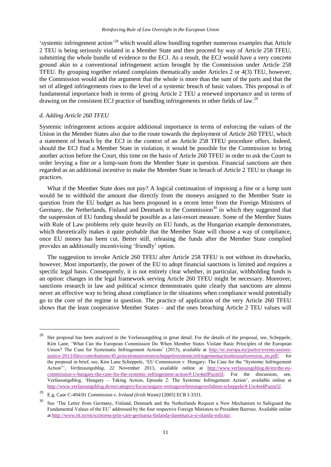'systemic infringement action<sup>'28</sup> which would allow bundling together numerous examples that Article 2 TEU is being seriously violated in a Member State and then proceed by way of Article 258 TFEU, submitting the whole bundle of evidence to the ECJ. As a result, the ECJ would have a very concrete ground akin to a conventional infringement action brought by the Commission under Article 258 TFEU. By grouping together related complaints thematically under Articles 2 or 4(3) TEU, however, the Commission would add the argument that the whole is more than the sum of the parts and that the set of alleged infringements rises to the level of a systemic breach of basic values. This proposal is of fundamental importance both in terms of giving Article 2 TEU a renewed importance and in terms of drawing on the consistent ECJ practice of bundling infringements in other fields of law.<sup>29</sup>

#### <span id="page-20-0"></span>*d. Adding Article 260 TFEU*

 $\overline{a}$ 

Systemic infringement actions acquire additional importance in terms of enforcing the values of the Union in the Member States also due to the route towards the deployment of Article 260 TFEU, which a statement of breach by the ECJ in the context of an Article 258 TFEU procedure offers. Indeed, should the ECJ find a Member State in violation, it would be possible for the Commission to bring another action before the Court, this time on the basis of Article 260 TFEU in order to ask the Court to order levying a fine or a lump-sum from the Member State in question. Financial sanctions are then regarded as an additional incentive to make the Member State in breach of Article 2 TEU to change its practices.

What if the Member State does not pay? A logical continuation of imposing a fine or a lump sum would be to withhold the amount due directly from the moneys assigned to the Member State in question from the EU budget as has been proposed in a recent letter from the Foreign Ministers of Germany, the Netherlands, Finland and Denmark to the Commission<sup>30</sup> in which they suggested that the suspension of EU funding should be possible as a last-resort measure. Some of the Member States with Rule of Law problems rely quite heavily on EU funds, as the Hungarian example demonstrates, which theoretically makes it quite probable that the Member State will choose a way of compliance, once EU money has been cut. Better still, releasing the funds after the Member State complied provides an additionally incentivising 'friendly' option.

The suggestion to invoke Article 260 TFEU after Article 258 TFEU is not without its drawbacks, however. Most importantly, the power of the EU to adopt financial sanctions is limited and requires a specific legal basis. Consequently, it is not entirely clear whether, in particular, withholding funds is an option: changes in the legal framework serving Article 260 TFEU might be necessary. Moreover, sanctions research in law and political science demonstrates quite clearly that sanctions are almost never an effective way to bring about compliance in the situations when compliance would potentially go to the core of the regime in question. The practice of application of the very Article 260 TFEU shows that the least cooperative Member States – and the ones breaching Article 2 TEU values will

 $28$  Her proposal has been analyzed in the Verfassungsblog in great detail. For the details of the proposal, see, Scheppele, Kim Lane, 'What Can the European Commission Do When Member States Violate Basic Principles of the European Union? The Case for Systematic Infringement Actions' (2013), available at [http://ec.europa.eu/justice/events/assises](http://ec.europa.eu/justice/events/assises-justice-2013/files/contributions/45.princetonuniversityscheppelesystemicinfringementactionbrusselsversion_en.pdf)[justice-2013/files/contributions/45.princetonuniversityscheppelesystemicinfringementactionbrusselsversion\\_en.pdf;](http://ec.europa.eu/justice/events/assises-justice-2013/files/contributions/45.princetonuniversityscheppelesystemicinfringementactionbrusselsversion_en.pdf) for the proposal in brief, see, Kim Lane Scheppele, 'EU Commission v. Hungary: The Case for the "Systemic Infringement Action"', *Verfassungsblog*, 22 November 2013, available online at [http://www.verfassungsblog.de/en/the-eu](http://www.verfassungsblog.de/en/the-eu-commission-v-hungary-the-case-for-the-systemic-infringement-action/#.Uw4mfPuzm5I)[commission-v-hungary-the-case-for-the-systemic-infringement-action/#.Uw4mfPuzm5I.](http://www.verfassungsblog.de/en/the-eu-commission-v-hungary-the-case-for-the-systemic-infringement-action/#.Uw4mfPuzm5I) For the discussion, see, Verfassungsblog, 'Hungary – Taking Action, Episode 2: The Systemic Infringement Action', available online at [http://www.verfassungsblog.de/en/category/focus/ungarn-vertragsverletzungsverfahren-scheppele/#.Uw4m4Puzm5J.](http://www.verfassungsblog.de/en/category/focus/ungarn-vertragsverletzungsverfahren-scheppele/#.Uw4m4Puzm5J)

<sup>29</sup> E.g. Case C-494/01 *Commission v. Ireland (Irish Waste)* [2005] ECR I-3331.

See 'The Letter from Germany, Finland, Denmark and the Netherlands Request a New Mechanism to Safeguard the Fundamental Values of the EU' addressed by the four respective Foreign Ministers to President Barroso. Available online at [http://www.rtt.ro/en/scrisorea-prin-care-germania-finlanda-danemarca-si-olanda-solicita/.](http://www.rtt.ro/en/scrisorea-prin-care-germania-finlanda-danemarca-si-olanda-solicita/)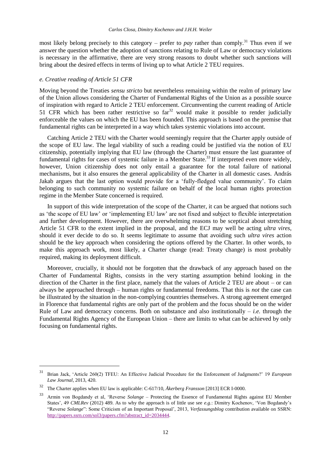most likely belong precisely to this category – prefer to *pay* rather than comply.<sup>31</sup> Thus even if we answer the question whether the adoption of sanctions relating to Rule of Law or democracy violations is necessary in the affirmative, there are very strong reasons to doubt whether such sanctions will bring about the desired effects in terms of living up to what Article 2 TEU requires.

#### <span id="page-21-0"></span>*e. Creative reading of Article 51 CFR*

l

Moving beyond the Treaties *sensu stricto* but nevertheless remaining within the realm of primary law of the Union allows considering the Charter of Fundamental Rights of the Union as a possible source of inspiration with regard to Article 2 TEU enforcement. Circumventing the current reading of Article 51 CFR which has been rather restrictive so  $far<sup>32</sup>$  would make it possible to render judicially enforceable the values on which the EU has been founded. This approach is based on the premise that fundamental rights can be interpreted in a way which takes systemic violations into account.

Catching Article 2 TEU with the Charter would seemingly require that the Charter apply outside of the scope of EU law. The legal viability of such a reading could be justified via the notion of EU citizenship, potentially implying that EU law (through the Charter) must ensure the last guarantee of fundamental rights for cases of systemic failure in a Member State.<sup>33</sup> If interpreted even more widely, however, Union citizenship does not only entail a guarantee for the total failure of national mechanisms, but it also ensures the general applicability of the Charter in all domestic cases. András Jakab argues that the last option would provide for a 'fully-fledged value community'. To claim belonging to such community no systemic failure on behalf of the local human rights protection regime in the Member State concerned is required.

In support of this wide interpretation of the scope of the Charter, it can be argued that notions such as 'the scope of EU law' or 'implementing EU law' are not fixed and subject to flexible interpretation and further development. However, there are overwhelming reasons to be sceptical about stretching Article 51 CFR to the extent implied in the proposal, and the ECJ may well be acting *ultra vires*, should it ever decide to do so. It seems legitimate to assume that avoiding such *ultra vires* action should be the key approach when considering the options offered by the Charter. In other words, to make this approach work, most likely, a Charter change (read: Treaty change) is most probably required, making its deployment difficult.

Moreover, crucially, it should not be forgotten that the drawback of any approach based on the Charter of Fundamental Rights, consists in the very starting assumption behind looking in the direction of the Charter in the first place, namely that the values of Article 2 TEU are about – or can always be approached through – human rights or fundamental freedoms. That this is *not* the case can be illustrated by the situation in the non-complying countries themselves. A strong agreement emerged in Florence that fundamental rights are only part of the problem and the focus should be on the wider Rule of Law and democracy concerns. Both on substance and also institutionally  $- i.e.$  through the Fundamental Rights Agency of the European Union – there are limits to what can be achieved by only focusing on fundamental rights.

<sup>31</sup> Brian Jack, 'Article 260(2) TFEU: An Effective Judicial Procedure for the Enforcement of Judgments?' 19 *European Law Journal*, 2013, 420.

<sup>32</sup> The Charter applies when EU law is applicable: C-617/10, *Åkerberg Fransson* [2013] ECR I-0000.

<sup>33</sup> Armin von Bogdandy et al, 'Reverse *Solange* – Protecting the Essence of Fundamental Rights against EU Member States', 49 *CMLRev* (2012) 489. As to why the approach is of little use see *e.g.*: Dimitry Kochenov, 'Von Bogdandy's "Reverse *Solange*": Some Criticism of an Important Proposal', 2013, *Verfassungsblog* contribution available on SSRN: [http://papers.ssrn.com/sol3/papers.cfm?abstract\\_id=2034444.](http://papers.ssrn.com/sol3/papers.cfm?abstract_id=2034444)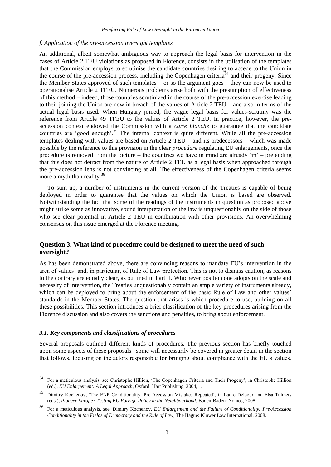#### <span id="page-22-0"></span>*f. Application of the pre-accession oversight templates*

An additional, albeit somewhat ambiguous way to approach the legal basis for intervention in the cases of Article 2 TEU violations as proposed in Florence, consists in the utilisation of the templates that the Commission employs to scrutinise the candidate countries desiring to accede to the Union in the course of the pre-accession process, including the Copenhagen criteria<sup>34</sup> and their progeny. Since the Member States approved of such templates – or so the argument goes – they can now be used to operationalise Article 2 TFEU. Numerous problems arise both with the presumption of effectiveness of this method – indeed, those countries scrutinized in the course of the pre-accession exercise leading to their joining the Union are now in breach of the values of Article 2 TEU – and also in terms of the actual legal basis used. When Hungary joined, the vague legal basis for values-scrutiny was the reference from Article 49 TFEU to the values of Article 2 TEU. In practice, however, the preaccession context endowed the Commission with a *carte blanche* to guarantee that the candidate countries are 'good enough'.<sup>35</sup> The internal context is quite different. While all the pre-accession templates dealing with values are based on Article 2 TEU – and its predecessors – which was made possible by the reference to this provision in the clear *procedure* regulating EU enlargements, once the procedure is removed from the picture – the countries we have in mind are already 'in' – pretending that this does not detract from the nature of Article 2 TEU as a legal basis when approached through the pre-accession lens is not convincing at all. The effectiveness of the Copenhagen criteria seems more a myth than reality.<sup>36</sup>

To sum up, a number of instruments in the current version of the Treaties is capable of being deployed in order to guarantee that the values on which the Union is based are observed. Notwithstanding the fact that some of the readings of the instruments in question as proposed above might strike some as innovative, sound interpretation of the law is unquestionably on the side of those who see clear potential in Article 2 TEU in combination with other provisions. An overwhelming consensus on this issue emerged at the Florence meeting.

# <span id="page-22-1"></span>**Question 3. What kind of procedure could be designed to meet the need of such oversight?**

As has been demonstrated above, there are convincing reasons to mandate EU's intervention in the area of values' and, in particular, of Rule of Law protection. This is not to dismiss caution, as reasons to the contrary are equally clear, as outlined in Part II. Whichever position one adopts on the scale and necessity of intervention, the Treaties unquestionably contain an ample variety of instruments already, which can be deployed to bring about the enforcement of the basic Rule of Law and other values' standards in the Member States. The question that arises is which procedure to use, building on all these possibilities. This section introduces a brief classification of the key procedures arising from the Florence discussion and also covers the sanctions and penalties, to bring about enforcement.

## <span id="page-22-2"></span>*3.1. Key components and classifications of procedures*

l

Several proposals outlined different kinds of procedures. The previous section has briefly touched upon some aspects of these proposals– some will necessarily be covered in greater detail in the section that follows, focusing on the actors responsible for bringing about compliance with the EU's values.

<sup>34</sup> For a meticulous analysis, see Christophe Hillion, 'The Copenhagen Criteria and Their Progeny', in Christophe Hillion (ed.), *EU Enlargement: A Legal Approach*, Oxford: Hart Publishing, 2004, 1.

<sup>&</sup>lt;sup>35</sup> Dimitry Kochenov, 'The ENP Conditionality: Pre-Accession Mistakes Repeated', in Laure Delcour and Elsa Tulmets (eds.), *Pioneer Europe? Testing EU Foreign Policy in the Neighbourhood*, Baden-Baden: Nomos, 2008.

<sup>36</sup> For a meticulous analysis, see, Dimitry Kochenov, *EU Enlargement and the Failure of Conditionality: Pre-Accession Conditionality in the Fields of Democracy and the Rule of Law*, The Hague: Kluwer Law International, 2008.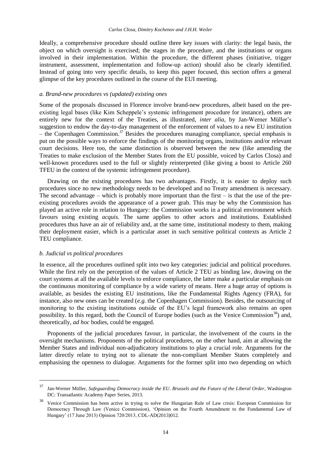Ideally, a comprehensive procedure should outline three key issues with clarity: the legal basis, the object on which oversight is exercised; the stages in the procedure, and the institutions or organs involved in their implementation. Within the procedure, the different phases (initiative, trigger instrument, assessment, implementation and follow-up action) should also be clearly identified. Instead of going into very specific details, to keep this paper focused, this section offers a general glimpse of the key procedures outlined in the course of the EUI meeting.

# <span id="page-23-0"></span>*a. Brand-new procedures vs (updated) existing ones*

Some of the proposals discussed in Florence involve brand-new procedures, albeit based on the preexisting legal bases (like Kim Scheppele's systemic infringement procedure for instance), others are entirely new for the context of the Treaties, as illustrated, *inter alia*, by Jan-Werner Müller's suggestion to endow the day-to-day management of the enforcement of values to a new EU institution – the Copenhagen Commission.<sup>37</sup> Besides the procedures managing compliance, special emphasis is put on the possible ways to enforce the findings of the monitoring organs, institutions and/or relevant court decisions. Here too, the same distinction is observed between the new (like amending the Treaties to make exclusion of the Member States from the EU possible, voiced by Carlos Closa) and well-known procedures used to the full or slightly reinterpreted (like giving a boost to Article 260 TFEU in the context of the systemic infringement procedure).

Drawing on the existing procedures has two advantages. Firstly, it is easier to deploy such procedures since no new methodology needs to be developed and no Treaty amendment is necessary. The second advantage – which is probably more important than the first – is that the use of the preexisting procedures avoids the appearance of a power grab. This may be why the Commission has played an active role in relation to Hungary: the Commission works in a political environment which favours using existing *acquis.* The same applies to other actors and institutions. Established procedures thus have an air of reliability and, at the same time, institutional modesty to them, making their deployment easier, which is a particular asset in such sensitive political contexts as Article 2 TEU compliance.

#### <span id="page-23-1"></span>*b. Judicial vs political procedures*

l

In essence, all the procedures outlined split into two key categories: judicial and political procedures. While the first rely on the perception of the values of Article 2 TEU as binding law, drawing on the court systems at all the available levels to enforce compliance, the latter make a particular emphasis on the continuous monitoring of compliance by a wide variety of means. Here a huge array of options is available, as besides the existing EU institutions, like the Fundamental Rights Agency (FRA), for instance, also new ones can be created (*e.g.* the Copenhagen Commission). Besides, the outsourcing of monitoring to the existing institutions outside of the EU's legal framework also remains an open possibility. In this regard, both the Council of Europe bodies (such as the Venice Commission<sup>38</sup>) and, theoretically, *ad hoc* bodies, could be engaged.

Proponents of the judicial procedures favour, in particular, the involvement of the courts in the oversight mechanisms. Proponents of the political procedures, on the other hand, aim at allowing the Member States and individual non-adjudicatory institutions to play a crucial role. Arguments for the latter directly relate to trying not to alienate the non-compliant Member States completely and emphasising the openness to dialogue. Arguments for the former split into two depending on which

<sup>37</sup> Jan-Werner Müller, *Safeguarding Democracy inside the EU. Brussels and the Future of the Liberal Order*, Washington DC: Transatlantic Academy Paper Series, 2013.

<sup>&</sup>lt;sup>38</sup> Venice Commission has been active in trying to solve the Hungarian Rule of Law crisis: European Commission for Democracy Through Law (Venice Commission), 'Opinion on the Fourth Amendment to the Fundamental Law of Hungary' (17 June 2013) Opinion 720/2013, CDL-AD(2013)012.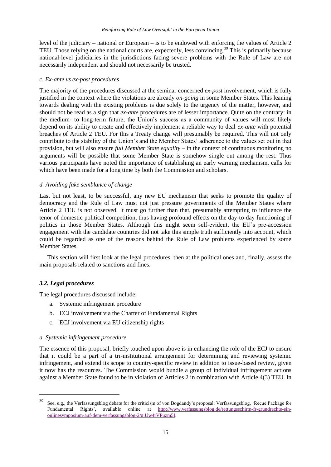level of the judiciary – national or European – is to be endowed with enforcing the values of Article 2 TEU. Those relying on the national courts are, expectedly, less convincing.<sup>39</sup> This is primarily because national-level judiciaries in the jurisdictions facing severe problems with the Rule of Law are not necessarily independent and should not necessarily be trusted.

# <span id="page-24-0"></span>*c. Ex-ante vs ex-post procedures*

The majority of the procedures discussed at the seminar concerned *ex-post* involvement, which is fully justified in the context where the violations are already *on-going* in some Member States. This leaning towards dealing with the existing problems is due solely to the urgency of the matter, however, and should not be read as a sign that *ex-ante* procedures are of lesser importance. Quite on the contrary: in the medium- to long-term future, the Union's success as a community of values will most likely depend on its ability to create and effectively implement a reliable way to deal *ex-ante* with potential breaches of Article 2 TEU. For this a Treaty change will presumably be required. This will not only contribute to the stability of the Union's and the Member States' adherence to the values set out in that provision, but will also ensure *full Member State equality* – in the context of continuous monitoring no arguments will be possible that some Member State is somehow single out among the rest. Thus various participants have noted the importance of establishing an early warning mechanism, calls for which have been made for a long time by both the Commission and scholars.

# <span id="page-24-1"></span>*d. Avoiding fake semblance of change*

Last but not least, to be successful, any new EU mechanism that seeks to promote the quality of democracy and the Rule of Law must not just pressure governments of the Member States where Article 2 TEU is not observed. It must go further than that, presumably attempting to influence the tenor of domestic political competition, thus having profound effects on the day-to-day functioning of politics in those Member States. Although this might seem self-evident, the EU's pre-accession engagement with the candidate countries did not take this simple truth sufficiently into account, which could be regarded as one of the reasons behind the Rule of Law problems experienced by some Member States.

This section will first look at the legal procedures, then at the political ones and, finally, assess the main proposals related to sanctions and fines.

# <span id="page-24-2"></span>*3.2. Legal procedures*

l

The legal procedures discussed include:

- a. Systemic infringement procedure
- b. ECJ involvement via the Charter of Fundamental Rights
- c. ECJ involvement via EU citizenship rights

#### <span id="page-24-3"></span>*a. Systemic infringement procedure*

The essence of this proposal, briefly touched upon above is in enhancing the role of the ECJ to ensure that it could be a part of a tri-institutional arrangement for determining and reviewing systemic infringement, and extend its scope to country-specific review in addition to issue-based review, given it now has the resources. The Commission would bundle a group of individual infringement actions against a Member State found to be in violation of Articles 2 in combination with Article 4(3) TEU. In

<sup>39</sup> See, e.g., the Verfassungsblog debate for the criticism of von Bogdandy's proposal: Verfassungsblog, 'Recue Package for Fundamental Rights', available online at [http://www.verfassungsblog.de/rettungsschirm-fr-grundrechte-ein](http://www.verfassungsblog.de/rettungsschirm-fr-grundrechte-ein-onlinesymposium-auf-dem-verfassungsblog-2/#.Uw4rVPuzm5I)[onlinesymposium-auf-dem-verfassungsblog-2/#.Uw4rVPuzm5I.](http://www.verfassungsblog.de/rettungsschirm-fr-grundrechte-ein-onlinesymposium-auf-dem-verfassungsblog-2/#.Uw4rVPuzm5I)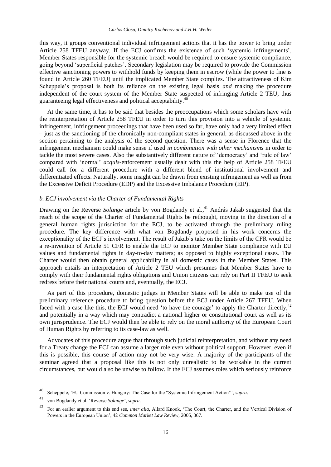this way, it groups conventional individual infringement actions that it has the power to bring under Article 258 TFEU anyway. If the ECJ confirms the existence of such 'systemic infringements', Member States responsible for the systemic breach would be required to ensure systemic compliance, going beyond 'superficial patches'. Secondary legislation may be required to provide the Commission effective sanctioning powers to withhold funds by keeping them in escrow (while the power to fine is found in Article 260 TFEU) until the implicated Member State complies. The attractiveness of Kim Scheppele's proposal is both its reliance on the existing legal basis *and* making the procedure independent of the court system of the Member State suspected of infringing Article 2 TEU, thus guaranteeing legal effectiveness and political acceptability.<sup>40</sup>

At the same time, it has to be said that besides the preoccupations which some scholars have with the reinterpretation of Article 258 TFEU in order to turn this provision into a vehicle of systemic infringement, infringement proceedings that have been used so far, have only had a very limited effect – just as the sanctioning of the chronically non-compliant states in general, as discussed above in the section pertaining to the analysis of the second question. There was a sense in Florence that the infringement mechanism could make sense if used *in combination with other mechanisms* in order to tackle the most severe cases. Also the substantively different nature of 'democracy' and 'rule of law' compared with 'normal' *acquis-*enforcement usually dealt with this the help of Article 258 TFEU could call for a different procedure with a different blend of institutional involvement and differentiated effects. Naturally, some insight can be drawn from existing infringement as well as from the Excessive Deficit Procedure (EDP) and the Excessive Imbalance Procedure (EIP).

## <span id="page-25-0"></span>*b. ECJ involvement via the Charter of Fundamental Rights*

Drawing on the Reverse *Solange* article by von Bogdandy et al.,<sup>41</sup> András Jakab suggested that the reach of the scope of the Charter of Fundamental Rights be rethought, moving in the direction of a general human rights jurisdiction for the ECJ, to be activated through the preliminary ruling procedure. The key difference with what von Bogdandy proposed in his work concerns the exceptionality of the ECJ's involvement. The result of Jakab's take on the limits of the CFR would be a re-invention of Article 51 CFR to enable the ECJ to monitor Member State compliance with EU values and fundamental rights in day-to-day matters; as opposed to highly exceptional cases. The Charter would then obtain general applicability in all domestic cases in the Member States. This approach entails an interpretation of Article 2 TEU which presumes that Member States have to comply with their fundamental rights obligations and Union citizens can rely on Part II TFEU to seek redress before their national courts and, eventually, the ECJ.

As part of this procedure, domestic judges in Member States will be able to make use of the preliminary reference procedure to bring question before the ECJ under Article 267 TFEU. When faced with a case like this, the ECJ would need 'to have the courage' to apply the Charter directly, $42$ and potentially in a way which may contradict a national higher or constitutional court as well as its own jurisprudence. The ECJ would then be able to rely on the moral authority of the European Court of Human Rights by referring to its case-law as well.

Advocates of this procedure argue that through such judicial reinterpretation, and without any need for a Treaty change the ECJ can assume a larger role even without political support. However, even if this is possible, this course of action may not be very wise. A majority of the participants of the seminar agreed that a proposal like this is not only unrealistic to be workable in the current circumstances, but would also be unwise to follow. If the ECJ assumes roles which seriously reinforce

<sup>40</sup> Scheppele, 'EU Commission v. Hungary: The Case for the "Systemic Infringement Action"', *supra*.

<sup>41</sup> von Bogdandy et al. 'Reverse *Solange*', *supra*.

<sup>42</sup> For an earlier argument to this end see, *inter alia*, Allard Knook, 'The Court, the Charter, and the Vertical Division of Powers in the European Union', 42 *Common Market Law Review*, 2005, 367.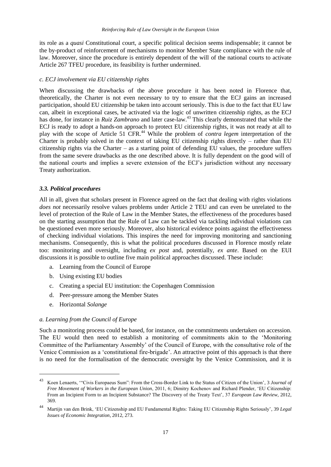its role as a *quasi* Constitutional court, a specific political decision seems indispensable; it cannot be the by-product of reinforcement of mechanisms to monitor Member State compliance with the rule of law. Moreover, since the procedure is entirely dependent of the will of the national courts to activate Article 267 TFEU procedure, its feasibility is further undermined.

# <span id="page-26-0"></span>*c. ECJ involvement via EU citizenship rights*

When discussing the drawbacks of the above procedure it has been noted in Florence that, theoretically, the Charter is not even necessary to try to ensure that the ECJ gains an increased participation, should EU citizenship be taken into account seriously. This is due to the fact that EU law can, albeit in exceptional cases, be activated via the logic of unwritten citizenship rights, as the ECJ has done, for instance in *Ruiz Zambrano* and later case-law.<sup>43</sup> This clearly demonstrated that while the ECJ is ready to adopt a hands-on approach to protect EU citizenship rights, it was not ready at all to play with the scope of Article 51 CFR.<sup>44</sup> While the problem of *contra legem* interpretation of the Charter is probably solved in the context of taking EU citizenship rights directly – rather than EU citizenship rights via the Charter – as a starting point of defending EU values, the procedure suffers from the same severe drawbacks as the one described above. It is fully dependent on the good will of the national courts and implies a severe extension of the ECJ's jurisdiction without any necessary Treaty authorization.

# <span id="page-26-1"></span>*3.3. Political procedures*

All in all, given that scholars present in Florence agreed on the fact that dealing with rights violations *does not* necessarily resolve values problems under Article 2 TEU and can even be unrelated to the level of protection of the Rule of Law in the Member States, the effectiveness of the procedures based on the starting assumption that the Rule of Law can be tackled via tackling individual violations can be questioned even more seriously. Moreover, also historical evidence points against the effectiveness of checking individual violations. This inspires the need for improving monitoring and sanctioning mechanisms. Consequently, this is what the political procedures discussed in Florence mostly relate too: monitoring and oversight, including *ex post* and, potentially, *ex ante*. Based on the EUI discussions it is possible to outline five main political approaches discussed. These include:

- a. Learning from the Council of Europe
- b. Using existing EU bodies
- c. Creating a special EU institution: the Copenhagen Commission
- d. Peer-pressure among the Member States
- e. Horizontal *Solange*

l

# <span id="page-26-2"></span>*a. Learning from the Council of Europe*

Such a monitoring process could be based, for instance, on the commitments undertaken on accession. The EU would then need to establish a monitoring of commitments akin to the 'Monitoring Committee of the Parliamentary Assembly' of the Council of Europe, with the consultative role of the Venice Commission as a 'constitutional fire-brigade'. An attractive point of this approach is that there is no need for the formalisation of the democratic oversight by the Venice Commission, and it is

<sup>43</sup> Koen Lenaerts, '"Civis Europaeus Sum": From the Cross-Border Link to the Status of Citizen of the Union', 3 *Journal of Free Movement of Workers in the European Union*, 2011, 6; Dimitry Kochenov and Richard Plender, 'EU Citizenship: From an Incipient Form to an Incipient Substance? The Discovery of the Treaty Text', 37 *European Law Review*, 2012, 369.

<sup>44</sup> Martijn van den Brink, 'EU Citizenship and EU Fundamental Rights: Taking EU Citizenship Rights Seriously', 39 *Legal Issues of Economic Integration*, 2012, 273.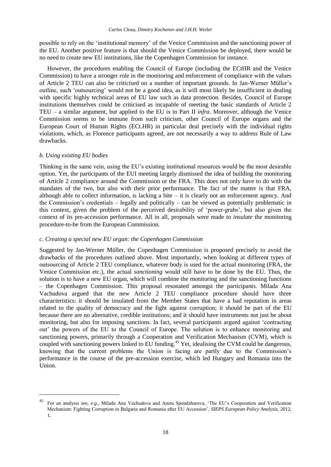possible to rely on the 'institutional memory' of the Venice Commission and the sanctioning power of the EU. Another positive feature is that should the Venice Commission be deployed, there would be no need to create new EU institutions, like the Copenhagen Commission for instance.

However, the procedures enabling the Council of Europe (including the ECtHR and the Venice Commission) to have a stronger role in the monitoring and enforcement of compliance with the values of Article 2 TEU can also be criticised on a number of important grounds. In Jan-Werner Müller's outline, such 'outsourcing' would not be a good idea, as it will most likely be insufficient in dealing with specific highly technical areas of EU law such as data protection. Besides, Council of Europe institutions themselves could be criticised as incapable of meeting the basic standards of Article 2 TEU – a similar argument, but applied to the EU is in Part II *infra.* Moreover, although the Venice Commission seems to be immune from such criticism, other Council of Europe organs and the European Court of Human Rights (ECt.HR) in particular deal precisely with the individual rights violations, which, as Florence participants agreed, are not necessarily a way to address Rule of Law drawbacks.

#### <span id="page-27-0"></span>*b. Using existing EU bodies*

l

Thinking in the same vein, using the EU's existing institutional resources would be the most desirable option. Yet, the participants of the EUI meeting largely dismissed the idea of building the monitoring of Article 2 compliance around the Commission or the FRA. This does not only have to do with the mandates of the two, but also with their prior performance. The fact of the matter is that FRA, although able to collect information, is lacking a bite – it is clearly not an enforcement agency. And the Commission's credentials – legally and politically – can be viewed as potentially problematic in this context, given the problem of the perceived desirability of 'power-grabs', but also given the context of its pre-accession performance. All in all, proposals were made to *insulate* the monitoring procedure-to-be from the European Commission.

#### <span id="page-27-1"></span>*c. Creating a special new EU organ: the Copenhagen Commission*

Suggested by Jan-Werner Müller, the Copenhagen Commission is proposed precisely to avoid the drawbacks of the procedures outlined above. Most importantly, when looking at different types of outsourcing of Article 2 TEU compliance, whatever body is used for the actual monitoring (FRA, the Venice Commission etc.), the actual *sanctioning* would still have to be done by the EU. Thus, the solution is to have a new EU organ, which will combine the monitoring and the sanctioning functions – the Copenhagen Commission. This proposal resonated amongst the participants. Milada Ana Vachudova argued that the new Article 2 TEU compliance procedure should have three characteristics: it should be insulated from the Member States that have a bad reputation in areas related to the quality of democracy and the fight against corruption; it should be part of the EU because there are no alternative, credible institutions; and it should have instruments not just be about monitoring, but also for imposing sanctions. In fact, several participants argued against 'contracting out' the powers of the EU to the Council of Europe. The solution is to enhance monitoring and sanctioning powers, primarily through a Cooperation and Verification Mechanism (CVM), which is coupled with sanctioning powers linked to EU funding.<sup>45</sup> Yet, idealising the CVM could be dangerous, knowing that the current problems the Union is facing are partly due to the Commission's performance in the course of the pre-accession exercise, which led Hungary and Romania into the Union.

<sup>45</sup> For an analysis see, *e.g.*, Milada Ana Vachudova and Aneta Spendzharova, 'The EU's Cooperation and Verification Mechanism: Fighting Corruption in Bulgaria and Romania after EU Accession', *SIEPS European Policy Analysis*, 2012, 1.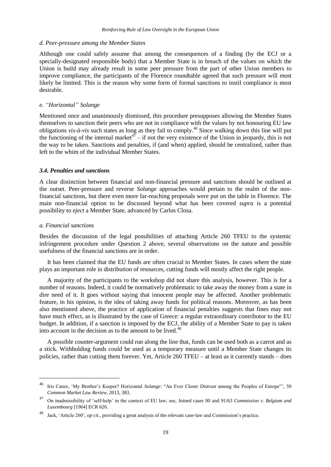#### <span id="page-28-0"></span>*d. Peer-pressure among the Member States*

Although one could safely assume that among the consequences of a finding (by the ECJ or a specially-designated responsible body) that a Member State is in breach of the values on which the Union is build may already result in some peer pressure from the part of other Union members to improve compliance, the participants of the Florence roundtable agreed that such pressure will most likely be limited. This is the reason why some form of formal sanctions to instil compliance is most desirable.

#### <span id="page-28-1"></span>*e. "Horizontal" Solange*

Mentioned once and unanimously dismissed, this procedure presupposes allowing the Member States themselves to sanction their peers who are not in compliance with the values by not honouring EU law obligations *vis-à-vis* such states as long as they fail to comply.<sup>46</sup> Since walking down this line will put the functioning of the internal market<sup>47</sup> – if not the very existence of the Union in jeopardy, this is not the way to be taken. Sanctions and penalties, if (and when) applied, should be centralized, rather than left to the whim of the individual Member States.

#### <span id="page-28-2"></span>*3.4. Penalties and sanctions*

A clear distinction between financial and non-financial pressure and sanctions should be outlined at the outset. Peer-pressure and reverse *Solange* approaches would pertain to the realm of the nonfinancial sanctions, but there even more far-reaching proposals were put on the table in Florence. The main non-financial option to be discussed beyond what has been covered *supra* is a potential possibility to *eject* a Member State, advanced by Carlos Closa.

#### <span id="page-28-3"></span>*a. Financial sanctions*

l

Besides the discussion of the legal possibilities of attaching Article 260 TFEU to the systemic infringement procedure under Question 2 above, several observations on the nature and possible usefulness of the financial sanctions are in order.

It has been claimed that the EU funds are often crucial to Member States. In cases where the state plays an important role in distribution of resources, cutting funds will mostly affect the right people.

A majority of the participants to the workshop did not share this analysis, however. This is for a number of reasons. Indeed, it could be normatively problematic to take away the money from a state in dire need of it. It goes without saying that innocent people may be affected. Another problematic feature, in his opinion, is the idea of taking away funds for political reasons. Moreover, as has been also mentioned above, the practice of application of financial penalties suggests that fines may not have much effect, as is illustrated by the case of Greece: a regular extraordinary contributor to the EU budget. In addition, if a sanction is imposed by the ECJ, the ability of a Member State to pay is taken into account in the decision as to the amount to be lived.<sup>48</sup>

A possible counter-argument could run along the line that, funds can be used both as a carrot and as a stick. Withholding funds could be used as a temporary measure until a Member State changes its policies, rather than cutting them forever. Yet, Article 260 TFEU – at least as it currently stands – does

<sup>46</sup> Iris Canor, 'My Brother's Keeper? Horizontal *Solange*: "An Ever Closer *Distrust* among the Peoples of Europe"', 50 *Common Market Law Review*, 2013, 383.

<sup>47</sup> On inadmissibility of 'self-help' in the context of EU law, see, Joined cases 90 and 91/63 *Commission v. Belgium and Luxembourg* [1964] ECR 626.

<sup>48</sup> Jack, 'Article 260', *op cit*., providing a great analysis of the relevant case-law and Commission's practice.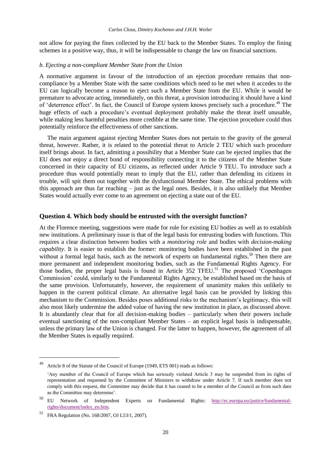not allow for paying the fines collected by the EU back to the Member States. To employ the fining schemes in a positive way, thus, it will be indispensable to change the law on financial sanctions.

#### <span id="page-29-0"></span>*b. Ejecting a non-compliant Member State from the Union*

A normative argument in favour of the introduction of an ejection procedure remains that noncompliance by a Member State with the same conditions which need to be met when it accedes to the EU can logically become a reason to eject such a Member State from the EU. While it would be premature to advocate acting, immediately, on this threat, a provision introducing it should have a kind of 'deterrence effect'. In fact, the Council of Europe system knows precisely such a procedure.<sup>49</sup> The huge effects of such a procedure's eventual deployment probably make the threat itself unusable, while making less harmful penalties more credible at the same time. The ejection procedure could thus potentially reinforce the effectiveness of other sanctions.

The main argument against ejecting Member States does not pertain to the gravity of the general threat, however. Rather, it is related to the potential threat to Article 2 TEU which such procedure itself brings about. In fact, admitting a possibility that a Member State can be ejected implies that the EU does *not* enjoy a direct bond of responsibility connecting it to the citizens of the Member State concerned in their capacity of EU citizens, as reflected under Article 9 TEU. To introduce such a procedure thus would potentially mean to imply that the EU, rather than defending its citizens in trouble, will spit them out together with the dysfunctional Member State. The ethical problems with this approach are thus far reaching – just as the legal ones. Besides, it is also unlikely that Member States would actually ever come to an agreement on ejecting a state out of the EU.

## <span id="page-29-1"></span>**Question 4. Which body should be entrusted with the oversight function?**

At the Florence meeting, suggestions were made for role for existing EU bodies as well as to establish new institutions. A preliminary issue is that of the legal basis for entrusting bodies with functions. This requires a clear distinction between bodies with a *monitoring role* and bodies with *decision-making capability*. It is easier to establish the former: monitoring bodies have been established in the past without a formal legal basis, such as the network of experts on fundamental rights.<sup>50</sup> Then there are more permanent and independent monitoring bodies, such as the Fundamental Rights Agency. For those bodies, the proper legal basis is found in Article  $352$  TFEU.<sup>51</sup> The proposed 'Copenhagen Commission' could, similarly to the Fundamental Rights Agency, be established based on the basis of the same provision. Unfortunately, however, the requirement of unanimity makes this unlikely to happen in the current political climate. An alternative legal basis can be provided by linking this mechanism to the Commission. Besides poses additional risks to the mechanism's legitimacy, this will also most likely undermine the added value of having the new institution in place, as discussed above. It is abundantly clear that for all decision-making bodies – particularly when their powers include eventual sanctioning of the non-compliant Member States – an explicit legal basis is indispensable, unless the primary law of the Union is changed. For the latter to happen, however, the agreement of all the Member States is equally required.

 $\overline{a}$ 

<sup>49</sup> Article 8 of the Statute of the Council of Europe (1949, ETS 001) reads as follows:

<sup>&#</sup>x27;Any member of the Council of Europe which has seriously violated Article 3 may be suspended from its rights of representation and requested by the Committee of Ministers to withdraw under Article 7. If such member does not comply with this request, the Committee may decide that it has ceased to be a member of the Council as from such date as the Committee may determine'.

<sup>50</sup> EU Network of Independent Experts on Fundamental Rights: [http://ec.europa.eu/justice/fundamental](http://ec.europa.eu/justice/fundamental-rights/document/index_en.htm)[rights/document/index\\_en.htm.](http://ec.europa.eu/justice/fundamental-rights/document/index_en.htm) 

<sup>51</sup> FRA Regulation (No. 168/2007, OJ L53/1, 2007).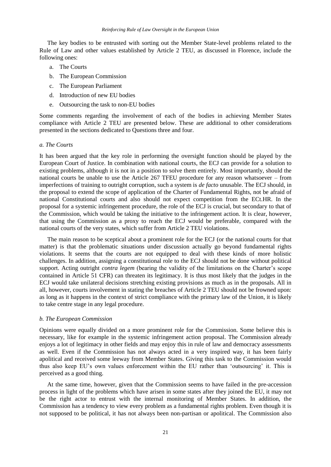The key bodies to be entrusted with sorting out the Member State-level problems related to the Rule of Law and other values established by Article 2 TEU, as discussed in Florence, include the following ones:

- a. The Courts
- b. The European Commission
- c. The European Parliament
- d. Introduction of new EU bodies
- e. Outsourcing the task to non-EU bodies

Some comments regarding the involvement of each of the bodies in achieving Member States compliance with Article 2 TEU are presented below. These are additional to other considerations presented in the sections dedicated to Questions three and four.

#### <span id="page-30-0"></span>*a. The Courts*

It has been argued that the key role in performing the oversight function should be played by the European Court of Justice. In combination with national courts, the ECJ can provide for a solution to existing problems, although it is not in a position to solve them entirely. Most importantly, should the national courts be unable to use the Article 267 TFEU procedure for any reason whatsoever – from imperfections of training to outright corruption, such a system is *de facto* unusable. The ECJ should, in the proposal to extend the scope of application of the Charter of Fundamental Rights, not be afraid of national Constitutional courts and also should not expect competition from the ECt.HR. In the proposal for a systemic infringement procedure, the role of the ECJ is crucial, but secondary to that of the Commission, which would be taking the initiative to the infringement action. It is clear, however, that using the Commission as a proxy to reach the ECJ would be preferable, compared with the national courts of the very states, which suffer from Article 2 TEU violations.

The main reason to be sceptical about a prominent role for the ECJ (or the national courts for that matter) is that the problematic situations under discussion actually go beyond fundamental rights violations. It seems that the courts are not equipped to deal with these kinds of more holistic challenges. In addition, assigning a constitutional role to the ECJ should not be done without political support. Acting outright *contra legem* (bearing the validity of the limitations on the Charter's scope contained in Article 51 CFR) can threaten its legitimacy. It is thus most likely that the judges in the ECJ would take unilateral decisions stretching existing provisions as much as in the proposals. All in all, however, courts involvement in stating the breaches of Article 2 TEU should not be frowned upon: as long as it happens in the context of strict compliance with the primary law of the Union, it is likely to take centre stage in any legal procedure.

#### <span id="page-30-1"></span>*b. The European Commission*

Opinions were equally divided on a more prominent role for the Commission. Some believe this is necessary, like for example in the systemic infringement action proposal. The Commission already enjoys a lot of legitimacy in other fields and may enjoy this in rule of law and democracy assessments as well. Even if the Commission has not always acted in a very inspired way, it has been fairly apolitical and received some leeway from Member States. Giving this task to the Commission would thus also keep EU's own values enforcement within the EU rather than 'outsourcing' it. This is perceived as a good thing.

At the same time, however, given that the Commission seems to have failed in the pre-accession process in light of the problems which have arisen in some states after they joined the EU, it may not be the right actor to entrust with the internal monitoring of Member States. In addition, the Commission has a tendency to view every problem as a fundamental rights problem. Even though it is not supposed to be political, it has not always been non-partisan or apolitical. The Commission also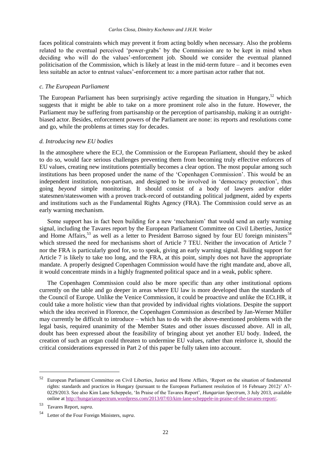faces political constraints which may prevent it from acting boldly when necessary. Also the problems related to the eventual perceived 'power-grabs' by the Commission are to be kept in mind when deciding who will do the values'-enforcement job. Should we consider the eventual planned politicisation of the Commission, which is likely at least in the mid-term future – and it becomes even less suitable an actor to entrust values'-enforcement to: a more partisan actor rather that not.

# <span id="page-31-0"></span>*c. The European Parliament*

The European Parliament has been surprisingly active regarding the situation in Hungary,<sup>52</sup> which suggests that it might be able to take on a more prominent role also in the future. However, the Parliament may be suffering from partisanship or the perception of partisanship, making it an outrightbiased actor. Besides, enforcement powers of the Parliament are none: its reports and resolutions come and go, while the problems at times stay for decades.

#### <span id="page-31-1"></span>*d. Introducing new EU bodies*

In the atmosphere where the ECJ, the Commission or the European Parliament, should they be asked to do so, would face serious challenges preventing them from becoming truly effective enforcers of EU values, creating new institutions potentially becomes a clear option. The most popular among such institutions has been proposed under the name of the 'Copenhagen Commission'. This would be an independent institution, non-partisan, and designed to be involved in 'democracy protection', thus going *beyond* simple monitoring. It should consist of a body of lawyers and/or elder statesmen/stateswomen with a proven track-record of outstanding political judgment, aided by experts and institutions such as the Fundamental Rights Agency (FRA). The Commission could serve as an early warning mechanism.

Some support has in fact been building for a new 'mechanism' that would send an early warning signal, including the Tavares report by the European Parliament Committee on Civil Liberties, Justice and Home Affairs,<sup>53</sup> as well as a letter to President Barroso signed by four EU foreign ministers<sup>54</sup> which stressed the need for mechanisms short of Article 7 TEU. Neither the invocation of Article 7 nor the FRA is particularly good for, so to speak, giving an early warning signal. Building support for Article 7 is likely to take too long, and the FRA, at this point, simply does not have the appropriate mandate. A properly designed Copenhagen Commission would have the right mandate and, above all, it would concentrate minds in a highly fragmented political space and in a weak, public sphere.

The Copenhagen Commission could also be more specific than any other institutional options currently on the table and go deeper in areas where EU law is more developed than the standards of the Council of Europe. Unlike the Venice Commission, it could be proactive and unlike the ECt.HR, it could take a more holistic view than that provided by individual rights violations. Despite the support which the idea received in Florence, the Copenhagen Commission as described by Jan-Werner Müller may currently be difficult to introduce – which has to do with the above-mentioned problems with the legal basis, required unanimity of the Member States and other issues discussed above. All in all, doubt has been expressed about the feasibility of bringing about yet another EU body. Indeed, the creation of such an organ could threaten to undermine EU values, rather than reinforce it, should the critical considerations expressed in Part 2 of this paper be fully taken into account.

 $\overline{a}$ 

<sup>52</sup> European Parliament Committee on Civil Liberties, Justice and Home Affairs, 'Report on the situation of fundamental rights: standards and practices in Hungary (pursuant to the European Parliament resolution of 16 February 2012)' A7- 0229/2013. See also Kim Lane Scheppele, 'In Praise of the Tavares Report', *Hungarian Spectrum*, 3 July 2013, available online a[t http://hungarianspectrum.wordpress.com/2013/07/03/kim-lane-scheppele-in-praise-of-the-tavares-report/.](http://hungarianspectrum.wordpress.com/2013/07/03/kim-lane-scheppele-in-praise-of-the-tavares-report/)

<sup>53</sup> Tavares Report, *supra*.

<sup>54</sup> Letter of the Four Foreign Ministers, *supra*.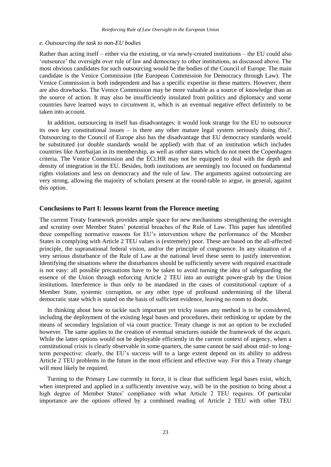#### <span id="page-32-0"></span>*e. Outsourcing the task to non-EU bodies*

Rather than acting itself – either via the existing, or via newly-created institutions – the EU could also 'outsource' the oversight over rule of law and democracy to other institutions, as discussed above. The most obvious candidates for such outsourcing would be the bodies of the Council of Europe. The main candidate is the Venice Commission (the European Commission for Democracy through Law). The Venice Commission is both independent and has a specific expertise in these matters. However, there are also drawbacks. The Venice Commission may be more valuable as a source of knowledge than as the source of action. It may also be insufficiently insulated from politics and diplomacy and some countries have learned ways to circumvent it, which is an eventual negative effect definitely to be taken into account.

In addition, outsourcing in itself has disadvantages: it would look strange for the EU to outsource its own key constitutional issues – is there any other mature legal system seriously doing this?. Outsourcing to the Council of Europe also has the disadvantage that EU democracy standards would be substituted (or double standards would be applied) with that of an institution which includes countries like Azerbaijan in its membership, as well as other states which do not meet the Copenhagen criteria. The Venice Commission and the ECt.HR may not be equipped to deal with the depth and density of integration in the EU. Besides, both institutions are seemingly too focused on fundamental rights violations and less on democracy and the rule of law. The arguments against outsourcing are very strong, allowing the majority of scholars present at the round-table to argue, in general, against this option.

#### <span id="page-32-1"></span>**Conclusions to Part I: lessons learnt from the Florence meeting**

The current Treaty framework provides ample space for new mechanisms strengthening the oversight and scrutiny over Member States' potential breaches of the Rule of Law. This paper has identified three compelling normative reasons for EU's intervention where the performance of the Member States in complying with Article 2 TEU values is (extremely) poor. These are based on the all-affected principle, the supranational federal vision, and/or the principle of congruence. In any situation of a very serious disturbance of the Rule of Law at the national level these seem to justify intervention. Identifying the situations where the disturbances should be sufficiently severe with required exactitude is not easy: all possible precautions have to be taken to avoid turning the idea of safeguarding the essence of the Union through enforcing Article 2 TEU into an outright power-grab by the Union institutions. Interference is thus only to be mandated in the cases of constitutional capture of a Member State, systemic corruption, or any other type of profound undermining of the liberal democratic state which is stated on the basis of sufficient evidence, leaving no room to doubt.

In thinking about how to tackle such important yet tricky issues any method is to be considered, including the deployment of the existing legal bases and procedures, their rethinking or update by the means of secondary legislation of via court practice. Treaty change is not an option to be excluded however. The same applies to the creation of eventual structures outside the framework of the *acquis*. While the latter options would not be deployable efficiently in the current context of urgency, when a constitutional crisis is clearly observable in some quarters, the same cannot be said about mid- to longterm perspective: clearly, the EU's success will to a large extent depend on its ability to address Article 2 TEU problems in the future in the most efficient and effective way. For this a Treaty change will most likely be required.

Turning to the Primary Law currently in force, it is clear that sufficient legal bases exist, which, when interpreted and applied in a sufficiently inventive way, will be in the position to bring about a high degree of Member States' compliance with what Article 2 TEU requires. Of particular importance are the options offered by a combined reading of Article 2 TEU with other TEU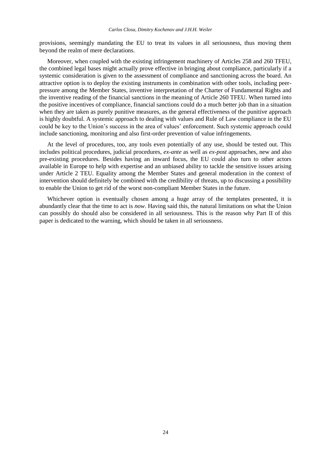provisions, seemingly mandating the EU to treat its values in all seriousness, thus moving them beyond the realm of mere declarations.

Moreover, when coupled with the existing infringement machinery of Articles 258 and 260 TFEU, the combined legal bases might actually prove effective in bringing about compliance, particularly if a systemic consideration is given to the assessment of compliance and sanctioning across the board. An attractive option is to deploy the existing instruments in combination with other tools, including peerpressure among the Member States, inventive interpretation of the Charter of Fundamental Rights and the inventive reading of the financial sanctions in the meaning of Article 260 TFEU. When turned into the positive incentives of compliance, financial sanctions could do a much better job than in a situation when they are taken as purely punitive measures, as the general effectiveness of the punitive approach is highly doubtful. A systemic approach to dealing with values and Rule of Law compliance in the EU could be key to the Union's success in the area of values' enforcement. Such systemic approach could include sanctioning, monitoring and also first-order prevention of value infringements.

At the level of procedures, too, any tools even potentially of any use, should be tested out. This includes political procedures, judicial procedures, *ex-ante* as well as *ex-post* approaches, new and also pre-existing procedures. Besides having an inward focus, the EU could also turn to other actors available in Europe to help with expertise and an unbiased ability to tackle the sensitive issues arising under Article 2 TEU. Equality among the Member States and general moderation in the context of intervention should definitely be combined with the credibility of threats, up to discussing a possibility to enable the Union to get rid of the worst non-compliant Member States in the future.

Whichever option is eventually chosen among a huge array of the templates presented, it is abundantly clear that the time to act is *now*. Having said this, the natural limitations on what the Union can possibly do should also be considered in all seriousness. This is the reason why Part II of this paper is dedicated to the warning, which should be taken in all seriousness.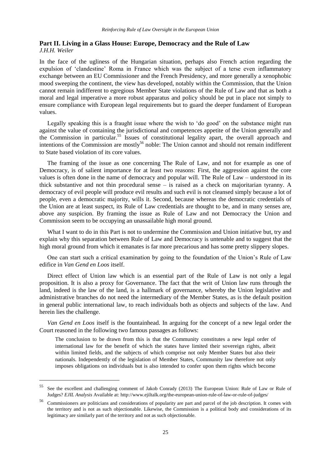# <span id="page-34-0"></span>**Part II. Living in a Glass House: Europe, Democracy and the Rule of Law** *J.H.H. Weiler*

In the face of the ugliness of the Hungarian situation, perhaps also French action regarding the expulsion of 'clandestine' Roma in France which was the subject of a terse even inflammatory exchange between an EU Commissioner and the French Presidency, and more generally a xenophobic mood sweeping the continent, the view has developed, notably within the Commission, that the Union cannot remain indifferent to egregious Member State violations of the Rule of Law and that as both a moral and legal imperative a more robust apparatus and policy should be put in place not simply to ensure compliance with European legal requirements but to guard the deeper fundament of European values.

Legally speaking this is a fraught issue where the wish to 'do good' on the substance might run against the value of containing the jurisdictional and competences appetite of the Union generally and the Commission in particular.<sup>55</sup> Issues of constitutional legality apart, the overall approach and intentions of the Commission are mostly<sup>56</sup> noble: The Union cannot and should not remain indifferent to State based violation of its core values.

The framing of the issue as one concerning The Rule of Law, and not for example as one of Democracy, is of salient importance for at least two reasons: First, the aggression against the core values is often done in the name of democracy and popular will. The Rule of Law – understood in its thick substantive and not thin procedural sense – is raised as a check on majoritarian tyranny. A democracy of evil people will produce evil results and such evil is not cleansed simply because a lot of people, even a democratic majority, wills it. Second, because whereas the democratic credentials of the Union are at least suspect, its Rule of Law credentials are thought to be, and in many senses are, above any suspicion. By framing the issue as Rule of Law and not Democracy the Union and Commission seem to be occupying an unassailable high moral ground.

What I want to do in this Part is not to undermine the Commission and Union initiative but, try and explain why this separation between Rule of Law and Democracy is untenable and to suggest that the high moral ground from which it emanates is far more precarious and has some pretty slippery slopes.

One can start such a critical examination by going to the foundation of the Union's Rule of Law edifice in *Van Gend en Loos* itself.

Direct effect of Union law which is an essential part of the Rule of Law is not only a legal proposition. It is also a proxy for Governance. The fact that the writ of Union law runs through the land, indeed is the law of the land, is a hallmark of governance, whereby the Union legislative and administrative branches do not need the intermediary of the Member States, as is the default position in general public international law, to reach individuals both as objects and subjects of the law. And herein lies the challenge.

*Van Gend en Loos* itself is the fountainhead. In arguing for the concept of a new legal order the Court reasoned in the following two famous passages as follows:

The conclusion to be drawn from this is that the Community constitutes a new legal order of international law for the benefit of which the states have limited their sovereign rights, albeit within limited fields, and the subjects of which comprise not only Member States but also their nationals. Independently of the legislation of Member States, Community law therefore not only imposes obligations on individuals but is also intended to confer upon them rights which become

 $\overline{a}$ 

<sup>55</sup> See the excellent and challenging comment of Jakob Conrady (2013) [The European Union: Rule of Law or Rule of](http://www.ejiltalk.org/the-european-union-rule-of-law-or-rule-of-judges/)  [Judges?](http://www.ejiltalk.org/the-european-union-rule-of-law-or-rule-of-judges/) *EJIL Analysis* Available at: <http://www.ejiltalk.org/the-european-union-rule-of-law-or-rule-of-judges/>

<sup>56</sup> Commissioners are politicians and considerations of popularity are part and parcel of the job description. It comes with the territory and is not as such objectionable. Likewise, the Commission is a political body and considerations of its legitimacy are similarly part of the territory and not as such objectionable.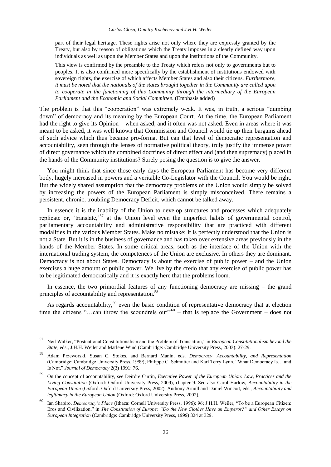part of their legal heritage. These rights arise not only where they are expressly granted by the Treaty, but also by reason of obligations which the Treaty imposes in a clearly defined way upon individuals as well as upon the Member States and upon the institutions of the Community.

This view is confirmed by the preamble to the Treaty which refers not only to governments but to peoples. It is also confirmed more specifically by the establishment of institutions endowed with sovereign rights, the exercise of which affects Member States and also their citizens. *Furthermore, it must be noted that the nationals of the states brought together in the Community are called upon to cooperate in the functioning of this Community through the intermediary of the European Parliament and the Economic and Social Committee*. (Emphasis added)

The problem is that this "cooperation" was extremely weak. It was, in truth, a serious "dumbing down" of democracy and its meaning by the European Court. At the time, the European Parliament had the right to give its Opinion – when asked, and it often was not asked. Even in areas where it was meant to be asked, it was well known that Commission and Council would tie up their bargains ahead of such advice which thus became pro-forma. But can that level of democratic representation and accountability, seen through the lenses of normative political theory, truly justify the immense power of direct governance which the combined doctrines of direct effect and (and then supremacy) placed in the hands of the Community institutions? Surely posing the question is to give the answer.

You might think that since those early days the European Parliament has become very different body, hugely increased in powers and a veritable Co-Legislator with the Council. You would be right. But the widely shared assumption that the democracy problems of the Union would simply be solved by increasing the powers of the European Parliament is simply misconceived. There remains a persistent, chronic, troubling Democracy Deficit, which cannot be talked away.

In essence it is the inability of the Union to develop structures and processes which adequately replicate or, 'translate,'<sup>57</sup> at the Union level even the imperfect habits of governmental control, parliamentary accountability and administrative responsibility that are practiced with different modalities in the various Member States. Make no mistake: It is perfectly understood that the Union is not a State. But it is in the business of governance and has taken over extensive areas previously in the hands of the Member States. In some critical areas, such as the interface of the Union with the international trading system, the competences of the Union are exclusive. In others they are dominant. Democracy is not about States. Democracy is about the exercise of public power – and the Union exercises a huge amount of public power. We live by the credo that any exercise of public power has to be legitimated democratically and it is exactly here that the problems loom.

In essence, the two primordial features of any functioning democracy are missing – the grand principles of accountability and representation.<sup>58</sup>

As regards accountability,<sup>59</sup> even the basic condition of representative democracy that at election time the citizens "...can throw the scoundrels out"<sup>60</sup> – that is replace the Government – does not

<sup>57</sup> Neil Walker, "Postnational Constitutionalism and the Problem of Translation," in *European Constitutionalism beyond the State*, eds., J.H.H. Weiler and Marlene Wind (Cambridge: Cambridge University Press, 2003): 27-29.

<sup>58</sup> Adam Przeworski, Susan C. Stokes, and Bernard Manin, eds. *Democracy, Accountability, and Representation* (Cambridge: Cambridge University Press, 1999); Philippe C. Schmitter and Karl Terry Lynn, "What Democracy Is… and Is Not," *Journal of Democracy* 2(3) 1991: 76.

<sup>59</sup> On the concept of accountability, see Deirdre Curtin, *Executive Power of the European Union: Law, Practices and the Living Constitution* (Oxford: Oxford University Press, 2009), chapter 9. See also Carol Harlow, *Accountability in the European Union* (Oxford: Oxford University Press, 2002); Anthony Arnull and Daniel Wincott, eds., *Accountability and legitimacy in the European Union* (Oxford: Oxford University Press, 2002).

<sup>60</sup> Ian Shapiro, *Democracy's Place* (Ithaca: Cornell University Press, 1996): 96; J.H.H. Weiler, "To be a European Citizen: Eros and Civilization," in *The Constitution of Europe: "Do the New Clothes Have an Emperor?" and Other Essays on European Integration* (Cambridge: Cambridge University Press, 1999) 324 at 329.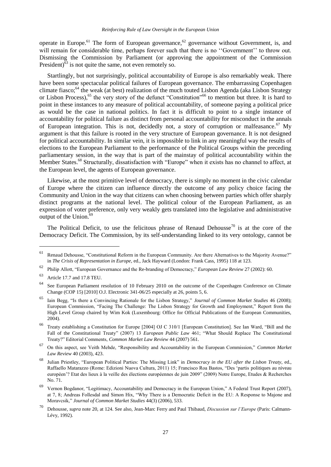operate in Europe.<sup>61</sup> The form of European governance,<sup>62</sup> governance without Government, is, and will remain for considerable time, perhaps forever such that there is no "Government" to throw out. Dismissing the Commission by Parliament (or approving the appointment of the Commission President) $^{63}$  is not quite the same, not even remotely so.

Startlingly, but not surprisingly, political accountability of Europe is also remarkably weak. There have been some spectacular political failures of European governance. The embarrassing Copenhagen climate fiasco;<sup>64</sup> the weak (at best) realization of the much touted Lisbon Agenda (aka Lisbon Strategy or Lisbon Process),<sup>65</sup> the very story of the defunct "Constitution"<sup>66</sup> to mention but three. It is hard to point in these instances to any measure of political accountability, of someone paying a political price as would be the case in national politics. In fact it is difficult to point to a single instance of accountability for political failure as distinct from personal accountability for misconduct in the annals of European integration. This is not, decidedly not, a story of corruption or malfeasance.<sup>67</sup> My argument is that this failure is rooted in the very structure of European governance. It is not designed for political accountability. In similar vein, it is impossible to link in any meaningful way the results of elections to the European Parliament to the performance of the Political Groups within the preceding parliamentary session, in the way that is part of the mainstay of political accountability within the Member States.<sup>68</sup> Structurally, dissatisfaction with "Europe" when it exists has no channel to affect, at the European level, the agents of European governance.

Likewise, at the most primitive level of democracy, there is simply no moment in the civic calendar of Europe where the citizen can influence directly the outcome of any policy choice facing the Community and Union in the way that citizens can when choosing between parties which offer sharply distinct programs at the national level. The political colour of the European Parliament, as an expression of voter preference, only very weakly gets translated into the legislative and administrative output of the Union.<sup>6</sup>

The Political Deficit, to use the felicitous phrase of Renaud Dehousse<sup>70</sup> is at the core of the Democracy Deficit. The Commission, by its self-understanding linked to its very ontology, cannot be

<sup>&</sup>lt;sup>61</sup> Renaud Dehousse, "Constitutional Reform in the European Community. Are there Alternatives to the Majority Avenue?" in *The Crisis of Representation in Europe*, ed., Jack Hayward (London: Frank Cass, 1995) 118 at 123.

<sup>62</sup> Philip Allott, "European Governance and the Re-branding of Democracy," *European Law Review* 27 (2002): 60.

<sup>63</sup> Article 17.7 and 17.8 TEU.

<sup>&</sup>lt;sup>64</sup> See European Parliament resolution of 10 February 2010 on the outcome of the Copenhagen Conference on Climate Change (COP 15) [2010] O.J. Electronic 341-06/25 especially at 26, points 5, 6.

<sup>65</sup> Iain Begg, "Is there a Convincing Rationale for the Lisbon Strategy," *Journal of Common Market Studies* 46 (2008); European Commission, "Facing The Challenge: The Lisbon Strategy for Growth and Employment," Report from the High Level Group chaired by Wim Kok (Luxembourg: Office for Official Publications of the European Communities, 2004).

<sup>66</sup> Treaty establishing a Constitution for Europe [2004] OJ C 310/1 [European Constitution]. See Ian Ward, "Bill and the Fall of the Constitutional Treaty" (2007) 13 *European Public Law* 461; "What Should Replace The Constitutional Treaty?" Editorial Comments, *Common Market Law Review* 44 (2007) 561.

<sup>67</sup> On this aspect, see Veith Mehde, "Responsibility and Accountability in the European Commission," *Common Market Law Review* 40 (2003), 423.

<sup>68</sup> Julian Priestley, "European Political Parties: The Missing Link" in *Democracy in the EU after the Lisbon Treaty*, ed., Raffaello Matarazzo (Rome: Edizioni Nuova Cultura, 2011) 15; Francisco Roa Bastos, "Des 'partis politiques au niveau européen'? Etat des lieux à la veille des élections européennes de juin 2009" (2009) Notre Europe, Etudes & Recherches No. 71.

<sup>69</sup> Vernon Bogdanor, "Legitimacy, Accountability and Democracy in the European Union," A Federal Trust Report (2007), at 7, 8; Andreas Follesdal and Simon Hix, "Why There is a Democratic Deficit in the EU: A Response to Majone and Moravcsik," *Journal of Common Market Studies* 44(3) (2006), 533.

<sup>70</sup> Dehousse, *supra* note 20, at 124. See also, Jean-Marc Ferry and Paul Thibaud, *Discussion sur l'Europe* (Paris: Calmann-Lévy, 1992).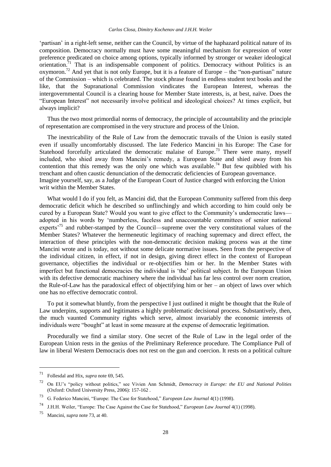'partisan' in a right-left sense, neither can the Council, by virtue of the haphazard political nature of its composition. Democracy normally must have some meaningful mechanism for expression of voter preference predicated on choice among options, typically informed by stronger or weaker ideological orientation. ${}^{71}$  That is an indispensable component of politics. Democracy without Politics is an  $\alpha$ ymoron.<sup>72</sup> And yet that is not only Europe, but it is a feature of Europe – the "non-partisan" nature of the Commission – which is celebrated. The stock phrase found in endless student text books and the like, that the Supranational Commission vindicates the European Interest, whereas the intergovernmental Council is a clearing house for Member State interests, is, at best, naïve. Does the "European Interest" not necessarily involve political and ideological choices? At times explicit, but always implicit?

Thus the two most primordial norms of democracy, the principle of accountability and the principle of representation are compromised in the very structure and process of the Union.

The inextricability of the Rule of Law from the democratic travails of the Union is easily stated even if usually uncomfortably discussed. The late Federico Mancini in his Europe: The Case for Statehood forcefully articulated the democratic malaise of Europe.<sup>73</sup> There were many, myself included, who shied away from Mancini's remedy, a European State and shied away from his contention that this remedy was the only one which was available.<sup>74</sup> But few quibbled with his trenchant and often caustic denunciation of the democratic deficiencies of European governance. Imagine yourself, say, as a Judge of the European Court of Justice charged with enforcing the Union writ within the Member States.

What would I do if you felt, as Mancini did, that the European Community suffered from this deep democratic deficit which he described so unflinchingly and which according to him could only be cured by a European State? Would you want to give effect to the Community's undemocratic laws adopted in his words by 'numberless, faceless and unaccountable committees of senior national experts<sup>75</sup> and rubber-stamped by the Council—supreme over the very constitutional values of the Member States? Whatever the hermeneutic legitimacy of reaching supremacy and direct effect, the interaction of these principles with the non-democratic decision making process was at the time Mancini wrote and is today, not without some delicate normative issues. Seen from the perspective of the individual citizen, in effect, if not in design, giving direct effect in the context of European governance, objectifies the individual or re-objectifies him or her. In the Member States with imperfect but functional democracies the individual is 'the' political subject. In the European Union with its defective democratic machinery where the individual has far less control over norm creation, the Rule-of-Law has the paradoxical effect of objectifying him or her – an object of laws over which one has no effective democratic control.

To put it somewhat bluntly, from the perspective I just outlined it might be thought that the Rule of Law underpins, supports and legitimates a highly problematic decisional process. Substantively, then, the much vaunted Community rights which serve, almost invariably the economic interests of individuals were "bought" at least in some measure at the expense of democratic legitimation.

Procedurally we find a similar story. One secret of the Rule of Law in the legal order of the European Union rests in the genius of the Preliminary Reference procedure. The Compliance Pull of law in liberal Western Democracis does not rest on the gun and coercion. It rests on a political culture

 $\overline{a}$ 

<sup>71</sup> Follesdal and Hix, *supra* note 69, 545.

<sup>72</sup> On EU's "policy without politics," see Vivien Ann Schmidt, *Democracy in Europe: the EU and National Polities* (Oxford: Oxford University Press, 2006): 157-162 .

<sup>73</sup> G. Federico Mancini, "Europe: The Case for Statehood," *European Law Journal* 4(1) (1998).

<sup>74</sup> J.H.H. Weiler, "Europe: The Case Against the Case for Statehood," *European Law Journal* 4(1) (1998).

<sup>75</sup> Mancini, *supra* note 73, at 40.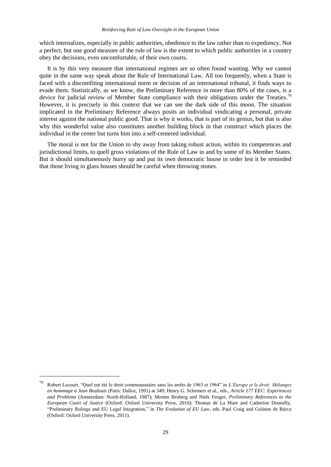which internalizes, especially in public authorities, obedience to the law rather than to expediency. Not a perfect, but one good measure of the rule of law is the extent to which public authorities in a country obey the decisions, even uncomfortable, of their own courts.

It is by this very measure that international regimes are so often found wanting. Why we cannot quite in the same way speak about the Rule of International Law. All too frequently, when a State is faced with a discomfiting international norm or decision of an international tribunal, it finds ways to evade them. Statistically, as we know, the Preliminary Reference in more than 80% of the cases, is a device for judicial review of Member State compliance with their obligations under the Treaties.<sup>76</sup> However, it is precisely in this context that we can see the dark side of this moon. The situation implicated in the Preliminary Reference always posits an individual vindicating a personal, private interest against the national public good. That is why it works, that is part of its genius, but that is also why this wonderful value also constitutes another building block in that construct which places the individual in the center but turns him into a self-centered individual.

The moral is not for the Union to shy away from taking robust action, within its competences and jurisdictional limits, to quell gross violations of the Rule of Law in and by some of its Member States. But it should simultaneously hurry up and put its own democratic house in order lest it be reminded that those living in glass houses should be careful when throwing stones.

<sup>76</sup> Robert Lecourt, "Quel eut été le droit communautaire sans les arrêts de 1963 et 1964" in *L'Europe et le droit: Mélanges en hommage à Jean Boulouis* (Paris: Dalloz, 1991) at 349; Henry G. Schemers et al., eds., *Article 177 EEC: Experiences and Problems* (Amsterdam: North-Holland, 1987); Morten Broberg and Niels Fenger, *Preliminary References to the European Court of Justice* (Oxford: Oxford University Press, 2010); Thomas de La Mare and Catherine Donnelly, "Preliminary Rulings and EU Legal Integration," in *The Evolution of EU Law*, eds. Paul Craig and Gráinne de Búrca (Oxford: Oxford University Press, 2011).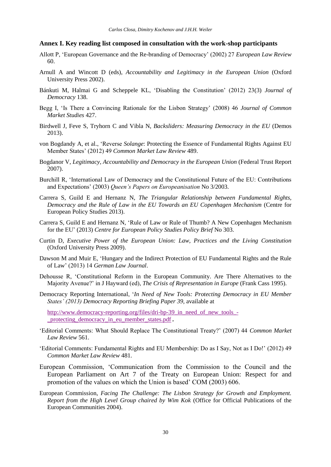#### <span id="page-39-0"></span>**Annex I. Key reading list composed in consultation with the work-shop participants**

- Allott P, 'European Governance and the Re-branding of Democracy' (2002) 27 *European Law Review* 60.
- Arnull A and Wincott D (eds), *Accountability and Legitimacy in the European Union* (Oxford University Press 2002).
- Bánkuti M, Halmai G and Scheppele KL, 'Disabling the Constitution' (2012) 23(3) *Journal of Democracy* 138.
- Begg I, 'Is There a Convincing Rationale for the Lisbon Strategy' (2008) 46 *Journal of Common Market Studies* 427.
- Birdwell J, Feve S, Tryhorn C and Vibla N, *Backsliders: Measuring Democracy in the EU* (Demos 2013).
- von Bogdandy A, et al., 'Reverse *Solange*: Protecting the Essence of Fundamental Rights Against EU Member States' (2012) 49 *Common Market Law Review* 489.
- Bogdanor V, *Legitimacy, Accountability and Democracy in the European Union* (Federal Trust Report 2007).
- Burchill R, 'International Law of Democracy and the Constitutional Future of the EU: Contributions and Expectations' (2003) *Queen's Papers on Europeanisation* No 3/2003.
- Carrera S, Guild E and Hernanz N, *The Triangular Relationship between Fundamental Rights, Democracy and the Rule of Law in the EU Towards an EU Copenhagen Mechanism* (Centre for European Policy Studies 2013).
- Carrera S, Guild E and Hernanz N, 'Rule of Law or Rule of Thumb? A New Copenhagen Mechanism for the EU' (2013) *Centre for European Policy Studies Policy Brief* No 303.
- Curtin D, *Executive Power of the European Union: Law, Practices and the Living Constitution* (Oxford University Press 2009).
- Dawson M and Muir E, 'Hungary and the Indirect Protection of EU Fundamental Rights and the Rule of Law' (2013) 14 *German Law Journal*.
- Dehousse R, 'Constitutional Reform in the European Community. Are There Alternatives to the Majority Avenue?' in J Hayward (ed), *The Crisis of Representation in Europe* (Frank Cass 1995).
- Democracy Reporting International, '*In Need of New Tools: Protecting Democracy in EU Member States' (2013) Democracy Reporting Briefing Paper 39,* available at

[http://www.democracy-reporting.org/files/dri-bp-39\\_in\\_need\\_of\\_new\\_tools\\_-](http://www.democracy-reporting.org/files/dri-bp-39_in_need_of_new_tools_-_protecting_democracy_in_eu_member_states.pdf) [\\_protecting\\_democracy\\_in\\_eu\\_member\\_states.pdf](http://www.democracy-reporting.org/files/dri-bp-39_in_need_of_new_tools_-_protecting_democracy_in_eu_member_states.pdf) *.*

- 'Editorial Comments: What Should Replace The Constitutional Treaty?' (2007) 44 *Common Market Law Review* 561.
- 'Editorial Comments: Fundamental Rights and EU Membership: Do as I Say, Not as I Do!' (2012) 49 *Common Market Law Review* 481.
- European Commission, 'Communication from the Commission to the Council and the European Parliament on Art 7 of the Treaty on European Union: Respect for and promotion of the values on which the Union is based' COM (2003) 606.
- European Commission, *Facing The Challenge: The Lisbon Strategy for Growth and Employment. Report from the High Level Group chaired by Wim Kok* (Office for Official Publications of the European Communities 2004).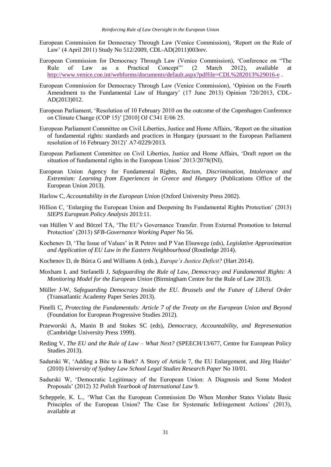- European Commission for Democracy Through Law (Venice Commission), 'Report on the Rule of Law' (4 April 2011) Study No 512/2009, CDL-AD(2011)003rev.
- European Commission for Democracy Through Law (Venice Commission), 'Conference on "The Rule of Law as a Practical Concept" (2 March 2012), available at <http://www.venice.coe.int/webforms/documents/default.aspx?pdffile=CDL%282013%29016-e>.
- European Commission for Democracy Through Law (Venice Commission), 'Opinion on the Fourth Amendment to the Fundamental Law of Hungary' (17 June 2013) Opinion 720/2013, CDL-AD(2013)012.
- European Parliament, 'Resolution of 10 February 2010 on the outcome of the Copenhagen Conference on Climate Change (COP 15)' [2010] OJ C341 E/06 25.
- European Parliament Committee on Civil Liberties, Justice and Home Affairs, 'Report on the situation of fundamental rights: standards and practices in Hungary (pursuant to the European Parliament resolution of 16 February 2012)' A7-0229/2013.
- European Parliament Committee on Civil Liberties, Justice and Home Affairs, 'Draft report on the situation of fundamental rights in the European Union' 2013/2078(INI).
- European Union Agency for Fundamental Rights, *Racism, Discrimination, Intolerance and Extremism: Learning from Experiences in Greece and Hungary* (Publications Office of the European Union 2013).
- Harlow C, *Accountability in the European Union* (Oxford University Press 2002).
- Hillion C, 'Enlarging the European Union and Deepening Its Fundamental Rights Protection' (2013) *SIEPS European Policy Analysis* 2013:11.
- van Hüllen V and Börzel TA, 'The EU's Governance Transfer. From External Promotion to Internal Protection' (2013) *SFB-Governance Working Paper* No 56.
- Kochenov D, 'The Issue of Values' in R Petrov and P Van Elsuwege (eds), *Legislative Approximation and Application of EU Law in the Eastern Neighbourhood* (Routledge 2014).
- Kochenov D, de Búrca G and Williams A (eds.), *Europe's Justice Deficit?* (Hart 2014).
- Moxham L and Stefanelli J, *Safeguarding the Rule of Law, Democracy and Fundamental Rights: A Monitoring Model for the European Union* (Birmingham Centre for the Rule of Law 2013).
- Müller J-W, *Safeguarding Democracy Inside the EU. Brussels and the Future of Liberal Order*  (Transatlantic Academy Paper Series 2013).
- Pinelli C, *Protecting the Fundamentals: Article 7 of the Treaty on the European Union and Beyond* (Foundation for European Progressive Studies 2012).
- Przeworski A, Manin B and Stokes SC (eds), *Democracy, Accountability, and Representation* (Cambridge University Press 1999).
- Reding V, *The EU and the Rule of Law – What Next?* (SPEECH/13/677, Centre for European Policy Studies 2013).
- Sadurski W, 'Adding a Bite to a Bark? A Story of Article 7, the EU Enlargement, and Jörg Haider' (2010) *University of Sydney Law School Legal Studies Research Paper* No 10/01.
- Sadurski W, 'Democratic Legitimacy of the European Union: A Diagnosis and Some Modest Proposals' (2012) 32 *Polish Yearbook of International Law* 9.
- Scheppele, K. L., 'What Can the European Commission Do When Member States Violate Basic Principles of the European Union? The Case for Systematic Infringement Actions' (2013), available at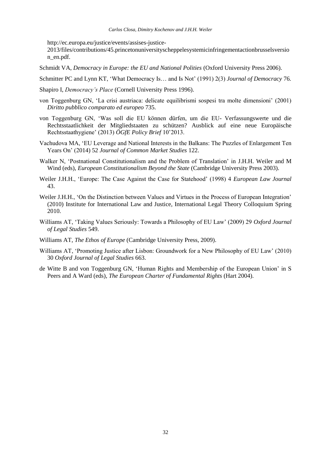[http://ec.europa.eu/justice/events/assises-justice-](http://ec.europa.eu/justice/events/assises-justice-2013/files/contributions/45.princetonuniversityscheppelesystemicinfringementactionbrusselsversion_en.pdf)

[2013/files/contributions/45.princetonuniversityscheppelesystemicinfringementactionbrusselsversio](http://ec.europa.eu/justice/events/assises-justice-2013/files/contributions/45.princetonuniversityscheppelesystemicinfringementactionbrusselsversion_en.pdf) [n\\_en.pdf.](http://ec.europa.eu/justice/events/assises-justice-2013/files/contributions/45.princetonuniversityscheppelesystemicinfringementactionbrusselsversion_en.pdf)

- Schmidt VA, *Democracy in Europe: the EU and National Polities* (Oxford University Press 2006).
- Schmitter PC and Lynn KT, 'What Democracy Is… and Is Not' (1991) 2(3) *Journal of Democracy* 76.
- Shapiro I, *Democracy's Place* (Cornell University Press 1996).
- von Toggenburg GN, 'La crisi austriaca: delicate equilibrismi sospesi tra molte dimensioni' (2001) *Diritto pubblico comparato ed europeo* 735.
- von Toggenburg GN, 'Was soll die EU können dürfen, um die EU- Verfassungswerte und die Rechtsstaatlichkeit der Mitgliedstaaten zu schützen? Ausblick auf eine neue Europäische Rechtsstaathygiene' (2013) *ÖGfE Policy Brief* 10'2013.
- Vachudova MA, 'EU Leverage and National Interests in the Balkans: The Puzzles of Enlargement Ten Years On' (2014) 52 *Journal of Common Market Studies* 122.
- Walker N, 'Postnational Constitutionalism and the Problem of Translation' in J.H.H. Weiler and M Wind (eds), *European Constitutionalism Beyond the State* (Cambridge University Press 2003).
- Weiler J.H.H., 'Europe: The Case Against the Case for Statehood' (1998) 4 *European Law Journal* 43.
- Weiler J.H.H., 'On the Distinction between Values and Virtues in the Process of European Integration' (2010) Institute for International Law and Justice, International Legal Theory Colloquium Spring 2010.
- Williams AT, 'Taking Values Seriously: Towards a Philosophy of EU Law' (2009) 29 *Oxford Journal of Legal Studies* 549.
- Williams AT, *The Ethos of Europe* (Cambridge University Press, 2009).
- Williams AT, 'Promoting Justice after Lisbon: Groundwork for a New Philosophy of EU Law' (2010) 30 *Oxford Journal of Legal Studies* 663.
- de Witte B and von Toggenburg GN, 'Human Rights and Membership of the European Union' in S Peers and A Ward (eds), *The European Charter of Fundamental Rights* (Hart 2004).